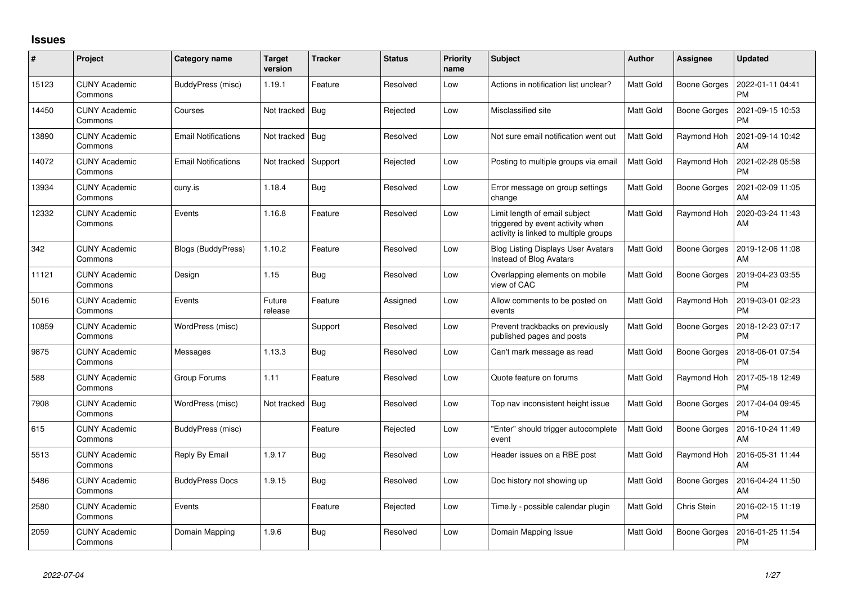## **Issues**

| $\pmb{\sharp}$ | Project                         | Category name              | <b>Target</b><br>version | <b>Tracker</b> | <b>Status</b> | Priority<br>name | <b>Subject</b>                                                                                             | <b>Author</b>    | Assignee            | <b>Updated</b>                |
|----------------|---------------------------------|----------------------------|--------------------------|----------------|---------------|------------------|------------------------------------------------------------------------------------------------------------|------------------|---------------------|-------------------------------|
| 15123          | <b>CUNY Academic</b><br>Commons | BuddyPress (misc)          | 1.19.1                   | Feature        | Resolved      | Low              | Actions in notification list unclear?                                                                      | Matt Gold        | <b>Boone Gorges</b> | 2022-01-11 04:41<br><b>PM</b> |
| 14450          | <b>CUNY Academic</b><br>Commons | Courses                    | Not tracked              | Bug            | Rejected      | Low              | Misclassified site                                                                                         | Matt Gold        | <b>Boone Gorges</b> | 2021-09-15 10:53<br><b>PM</b> |
| 13890          | <b>CUNY Academic</b><br>Commons | <b>Email Notifications</b> | Not tracked Bug          |                | Resolved      | Low              | Not sure email notification went out                                                                       | Matt Gold        | Raymond Hoh         | 2021-09-14 10:42<br><b>AM</b> |
| 14072          | <b>CUNY Academic</b><br>Commons | <b>Email Notifications</b> | Not tracked              | Support        | Rejected      | Low              | Posting to multiple groups via email                                                                       | <b>Matt Gold</b> | Raymond Hoh         | 2021-02-28 05:58<br><b>PM</b> |
| 13934          | <b>CUNY Academic</b><br>Commons | cuny.is                    | 1.18.4                   | <b>Bug</b>     | Resolved      | Low              | Error message on group settings<br>change                                                                  | Matt Gold        | <b>Boone Gorges</b> | 2021-02-09 11:05<br>AM        |
| 12332          | <b>CUNY Academic</b><br>Commons | Events                     | 1.16.8                   | Feature        | Resolved      | Low              | Limit length of email subject<br>triggered by event activity when<br>activity is linked to multiple groups | Matt Gold        | Raymond Hoh         | 2020-03-24 11:43<br>AM        |
| 342            | <b>CUNY Academic</b><br>Commons | Blogs (BuddyPress)         | 1.10.2                   | Feature        | Resolved      | Low              | <b>Blog Listing Displays User Avatars</b><br>Instead of Blog Avatars                                       | Matt Gold        | <b>Boone Gorges</b> | 2019-12-06 11:08<br>AM        |
| 11121          | <b>CUNY Academic</b><br>Commons | Design                     | 1.15                     | Bug            | Resolved      | Low              | Overlapping elements on mobile<br>view of CAC                                                              | Matt Gold        | <b>Boone Gorges</b> | 2019-04-23 03:55<br><b>PM</b> |
| 5016           | <b>CUNY Academic</b><br>Commons | Events                     | Future<br>release        | Feature        | Assigned      | Low              | Allow comments to be posted on<br>events                                                                   | Matt Gold        | Raymond Hoh         | 2019-03-01 02:23<br><b>PM</b> |
| 10859          | <b>CUNY Academic</b><br>Commons | WordPress (misc)           |                          | Support        | Resolved      | Low              | Prevent trackbacks on previously<br>published pages and posts                                              | Matt Gold        | <b>Boone Gorges</b> | 2018-12-23 07:17<br><b>PM</b> |
| 9875           | <b>CUNY Academic</b><br>Commons | Messages                   | 1.13.3                   | Bug            | Resolved      | Low              | Can't mark message as read                                                                                 | Matt Gold        | <b>Boone Gorges</b> | 2018-06-01 07:54<br><b>PM</b> |
| 588            | <b>CUNY Academic</b><br>Commons | Group Forums               | 1.11                     | Feature        | Resolved      | Low              | Quote feature on forums                                                                                    | Matt Gold        | Raymond Hoh         | 2017-05-18 12:49<br><b>PM</b> |
| 7908           | <b>CUNY Academic</b><br>Commons | WordPress (misc)           | Not tracked              | Bug            | Resolved      | Low              | Top nav inconsistent height issue                                                                          | Matt Gold        | <b>Boone Gorges</b> | 2017-04-04 09:45<br><b>PM</b> |
| 615            | <b>CUNY Academic</b><br>Commons | BuddyPress (misc)          |                          | Feature        | Rejected      | Low              | "Enter" should trigger autocomplete<br>event                                                               | Matt Gold        | <b>Boone Gorges</b> | 2016-10-24 11:49<br><b>AM</b> |
| 5513           | <b>CUNY Academic</b><br>Commons | Reply By Email             | 1.9.17                   | Bug            | Resolved      | Low              | Header issues on a RBE post                                                                                | Matt Gold        | Raymond Hoh         | 2016-05-31 11:44<br>AM        |
| 5486           | <b>CUNY Academic</b><br>Commons | <b>BuddyPress Docs</b>     | 1.9.15                   | <b>Bug</b>     | Resolved      | Low              | Doc history not showing up                                                                                 | Matt Gold        | <b>Boone Gorges</b> | 2016-04-24 11:50<br><b>AM</b> |
| 2580           | <b>CUNY Academic</b><br>Commons | Events                     |                          | Feature        | Rejected      | Low              | Time.ly - possible calendar plugin                                                                         | Matt Gold        | Chris Stein         | 2016-02-15 11:19<br><b>PM</b> |
| 2059           | <b>CUNY Academic</b><br>Commons | Domain Mapping             | 1.9.6                    | Bug            | Resolved      | Low              | Domain Mapping Issue                                                                                       | Matt Gold        | <b>Boone Gorges</b> | 2016-01-25 11:54<br><b>PM</b> |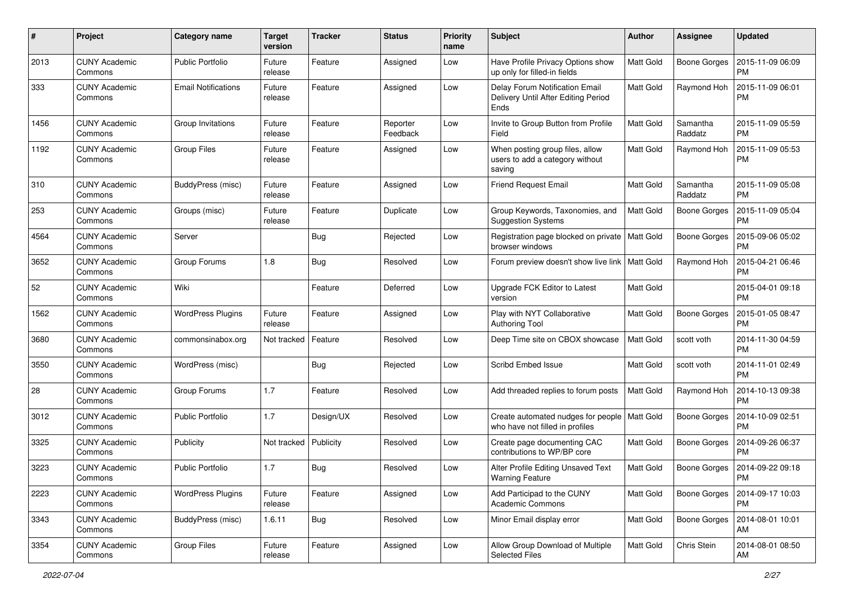| #    | Project                         | Category name              | <b>Target</b><br>version | <b>Tracker</b> | <b>Status</b>        | <b>Priority</b><br>name | <b>Subject</b>                                                                | Author           | <b>Assignee</b>     | <b>Updated</b>                |
|------|---------------------------------|----------------------------|--------------------------|----------------|----------------------|-------------------------|-------------------------------------------------------------------------------|------------------|---------------------|-------------------------------|
| 2013 | <b>CUNY Academic</b><br>Commons | <b>Public Portfolio</b>    | Future<br>release        | Feature        | Assigned             | Low                     | Have Profile Privacy Options show<br>up only for filled-in fields             | <b>Matt Gold</b> | <b>Boone Gorges</b> | 2015-11-09 06:09<br><b>PM</b> |
| 333  | <b>CUNY Academic</b><br>Commons | <b>Email Notifications</b> | Future<br>release        | Feature        | Assigned             | Low                     | Delay Forum Notification Email<br>Delivery Until After Editing Period<br>Ends | <b>Matt Gold</b> | Raymond Hoh         | 2015-11-09 06:01<br><b>PM</b> |
| 1456 | <b>CUNY Academic</b><br>Commons | Group Invitations          | Future<br>release        | Feature        | Reporter<br>Feedback | Low                     | Invite to Group Button from Profile<br>Field                                  | <b>Matt Gold</b> | Samantha<br>Raddatz | 2015-11-09 05:59<br><b>PM</b> |
| 1192 | <b>CUNY Academic</b><br>Commons | <b>Group Files</b>         | Future<br>release        | Feature        | Assigned             | Low                     | When posting group files, allow<br>users to add a category without<br>saving  | Matt Gold        | Raymond Hoh         | 2015-11-09 05:53<br><b>PM</b> |
| 310  | <b>CUNY Academic</b><br>Commons | BuddyPress (misc)          | Future<br>release        | Feature        | Assigned             | Low                     | <b>Friend Request Email</b>                                                   | <b>Matt Gold</b> | Samantha<br>Raddatz | 2015-11-09 05:08<br><b>PM</b> |
| 253  | <b>CUNY Academic</b><br>Commons | Groups (misc)              | Future<br>release        | Feature        | Duplicate            | Low                     | Group Keywords, Taxonomies, and<br><b>Suggestion Systems</b>                  | <b>Matt Gold</b> | <b>Boone Gorges</b> | 2015-11-09 05:04<br><b>PM</b> |
| 4564 | <b>CUNY Academic</b><br>Commons | Server                     |                          | <b>Bug</b>     | Rejected             | Low                     | Registration page blocked on private   Matt Gold<br>browser windows           |                  | <b>Boone Gorges</b> | 2015-09-06 05:02<br><b>PM</b> |
| 3652 | <b>CUNY Academic</b><br>Commons | Group Forums               | 1.8                      | Bug            | Resolved             | Low                     | Forum preview doesn't show live link   Matt Gold                              |                  | Raymond Hoh         | 2015-04-21 06:46<br><b>PM</b> |
| 52   | <b>CUNY Academic</b><br>Commons | Wiki                       |                          | Feature        | Deferred             | Low                     | Upgrade FCK Editor to Latest<br>version                                       | Matt Gold        |                     | 2015-04-01 09:18<br><b>PM</b> |
| 1562 | <b>CUNY Academic</b><br>Commons | <b>WordPress Plugins</b>   | Future<br>release        | Feature        | Assigned             | Low                     | Play with NYT Collaborative<br><b>Authoring Tool</b>                          | Matt Gold        | <b>Boone Gorges</b> | 2015-01-05 08:47<br><b>PM</b> |
| 3680 | <b>CUNY Academic</b><br>Commons | commonsinabox.org          | Not tracked              | Feature        | Resolved             | Low                     | Deep Time site on CBOX showcase                                               | <b>Matt Gold</b> | scott voth          | 2014-11-30 04:59<br><b>PM</b> |
| 3550 | <b>CUNY Academic</b><br>Commons | WordPress (misc)           |                          | Bug            | Rejected             | Low                     | Scribd Embed Issue                                                            | Matt Gold        | scott voth          | 2014-11-01 02:49<br><b>PM</b> |
| 28   | <b>CUNY Academic</b><br>Commons | Group Forums               | 1.7                      | Feature        | Resolved             | Low                     | Add threaded replies to forum posts                                           | <b>Matt Gold</b> | Raymond Hoh         | 2014-10-13 09:38<br><b>PM</b> |
| 3012 | <b>CUNY Academic</b><br>Commons | <b>Public Portfolio</b>    | 1.7                      | Design/UX      | Resolved             | Low                     | Create automated nudges for people<br>who have not filled in profiles         | Matt Gold        | <b>Boone Gorges</b> | 2014-10-09 02:51<br><b>PM</b> |
| 3325 | <b>CUNY Academic</b><br>Commons | Publicity                  | Not tracked              | Publicity      | Resolved             | Low                     | Create page documenting CAC<br>contributions to WP/BP core                    | Matt Gold        | <b>Boone Gorges</b> | 2014-09-26 06:37<br><b>PM</b> |
| 3223 | <b>CUNY Academic</b><br>Commons | <b>Public Portfolio</b>    | 1.7                      | <b>Bug</b>     | Resolved             | Low                     | Alter Profile Editing Unsaved Text<br><b>Warning Feature</b>                  | Matt Gold        | Boone Gorges        | 2014-09-22 09:18<br>PM        |
| 2223 | <b>CUNY Academic</b><br>Commons | <b>WordPress Plugins</b>   | Future<br>release        | Feature        | Assigned             | Low                     | Add Participad to the CUNY<br><b>Academic Commons</b>                         | Matt Gold        | <b>Boone Gorges</b> | 2014-09-17 10:03<br><b>PM</b> |
| 3343 | <b>CUNY Academic</b><br>Commons | BuddyPress (misc)          | 1.6.11                   | <b>Bug</b>     | Resolved             | Low                     | Minor Email display error                                                     | Matt Gold        | <b>Boone Gorges</b> | 2014-08-01 10:01<br>AM        |
| 3354 | <b>CUNY Academic</b><br>Commons | Group Files                | Future<br>release        | Feature        | Assigned             | Low                     | Allow Group Download of Multiple<br>Selected Files                            | Matt Gold        | Chris Stein         | 2014-08-01 08:50<br>AM        |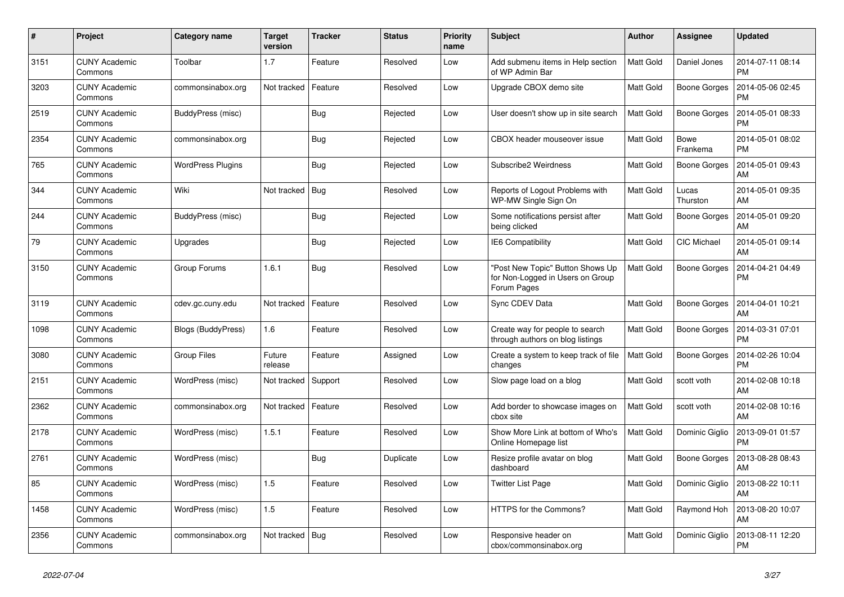| #    | Project                         | Category name            | Target<br>version | <b>Tracker</b> | <b>Status</b> | <b>Priority</b><br>name | <b>Subject</b>                                                                      | <b>Author</b>    | Assignee            | <b>Updated</b>                |
|------|---------------------------------|--------------------------|-------------------|----------------|---------------|-------------------------|-------------------------------------------------------------------------------------|------------------|---------------------|-------------------------------|
| 3151 | <b>CUNY Academic</b><br>Commons | Toolbar                  | 1.7               | Feature        | Resolved      | Low                     | Add submenu items in Help section<br>of WP Admin Bar                                | <b>Matt Gold</b> | Daniel Jones        | 2014-07-11 08:14<br><b>PM</b> |
| 3203 | <b>CUNY Academic</b><br>Commons | commonsinabox.org        | Not tracked       | Feature        | Resolved      | Low                     | Upgrade CBOX demo site                                                              | <b>Matt Gold</b> | <b>Boone Gorges</b> | 2014-05-06 02:45<br><b>PM</b> |
| 2519 | <b>CUNY Academic</b><br>Commons | BuddyPress (misc)        |                   | Bug            | Rejected      | Low                     | User doesn't show up in site search                                                 | <b>Matt Gold</b> | Boone Gorges        | 2014-05-01 08:33<br><b>PM</b> |
| 2354 | <b>CUNY Academic</b><br>Commons | commonsinabox.org        |                   | <b>Bug</b>     | Rejected      | Low                     | CBOX header mouseover issue                                                         | <b>Matt Gold</b> | Bowe<br>Frankema    | 2014-05-01 08:02<br><b>PM</b> |
| 765  | <b>CUNY Academic</b><br>Commons | <b>WordPress Plugins</b> |                   | <b>Bug</b>     | Rejected      | Low                     | Subscribe2 Weirdness                                                                | <b>Matt Gold</b> | <b>Boone Gorges</b> | 2014-05-01 09:43<br>AM        |
| 344  | <b>CUNY Academic</b><br>Commons | Wiki                     | Not tracked       | Bug            | Resolved      | Low                     | Reports of Logout Problems with<br>WP-MW Single Sign On                             | Matt Gold        | Lucas<br>Thurston   | 2014-05-01 09:35<br>AM        |
| 244  | <b>CUNY Academic</b><br>Commons | BuddyPress (misc)        |                   | <b>Bug</b>     | Rejected      | Low                     | Some notifications persist after<br>being clicked                                   | <b>Matt Gold</b> | <b>Boone Gorges</b> | 2014-05-01 09:20<br>AM        |
| 79   | <b>CUNY Academic</b><br>Commons | Upgrades                 |                   | Bug            | Rejected      | Low                     | IE6 Compatibility                                                                   | Matt Gold        | CIC Michael         | 2014-05-01 09:14<br>AM        |
| 3150 | <b>CUNY Academic</b><br>Commons | Group Forums             | 1.6.1             | <b>Bug</b>     | Resolved      | Low                     | "Post New Topic" Button Shows Up<br>for Non-Logged in Users on Group<br>Forum Pages | Matt Gold        | Boone Gorges        | 2014-04-21 04:49<br><b>PM</b> |
| 3119 | <b>CUNY Academic</b><br>Commons | cdev.gc.cuny.edu         | Not tracked       | Feature        | Resolved      | Low                     | Sync CDEV Data                                                                      | Matt Gold        | <b>Boone Gorges</b> | 2014-04-01 10:21<br>AM        |
| 1098 | <b>CUNY Academic</b><br>Commons | Blogs (BuddyPress)       | 1.6               | Feature        | Resolved      | Low                     | Create way for people to search<br>through authors on blog listings                 | Matt Gold        | Boone Gorges        | 2014-03-31 07:01<br><b>PM</b> |
| 3080 | <b>CUNY Academic</b><br>Commons | Group Files              | Future<br>release | Feature        | Assigned      | Low                     | Create a system to keep track of file<br>changes                                    | <b>Matt Gold</b> | <b>Boone Gorges</b> | 2014-02-26 10:04<br><b>PM</b> |
| 2151 | <b>CUNY Academic</b><br>Commons | WordPress (misc)         | Not tracked       | Support        | Resolved      | Low                     | Slow page load on a blog                                                            | Matt Gold        | scott voth          | 2014-02-08 10:18<br>AM        |
| 2362 | <b>CUNY Academic</b><br>Commons | commonsinabox.org        | Not tracked       | Feature        | Resolved      | Low                     | Add border to showcase images on<br>cbox site                                       | Matt Gold        | scott voth          | 2014-02-08 10:16<br>AM        |
| 2178 | <b>CUNY Academic</b><br>Commons | WordPress (misc)         | 1.5.1             | Feature        | Resolved      | Low                     | Show More Link at bottom of Who's<br>Online Homepage list                           | <b>Matt Gold</b> | Dominic Giglio      | 2013-09-01 01:57<br><b>PM</b> |
| 2761 | <b>CUNY Academic</b><br>Commons | WordPress (misc)         |                   | <b>Bug</b>     | Duplicate     | Low                     | Resize profile avatar on blog<br>dashboard                                          | Matt Gold        | Boone Gorges        | 2013-08-28 08:43<br>AM        |
| 85   | <b>CUNY Academic</b><br>Commons | WordPress (misc)         | 1.5               | Feature        | Resolved      | Low                     | Twitter List Page                                                                   | Matt Gold        | Dominic Giglio      | 2013-08-22 10:11<br>AM        |
| 1458 | <b>CUNY Academic</b><br>Commons | WordPress (misc)         | 1.5               | Feature        | Resolved      | Low                     | HTTPS for the Commons?                                                              | <b>Matt Gold</b> | Raymond Hoh         | 2013-08-20 10:07<br>AM        |
| 2356 | <b>CUNY Academic</b><br>Commons | commonsinabox.org        | Not tracked       | Bug            | Resolved      | Low                     | Responsive header on<br>cbox/commonsinabox.org                                      | <b>Matt Gold</b> | Dominic Giglio      | 2013-08-11 12:20<br><b>PM</b> |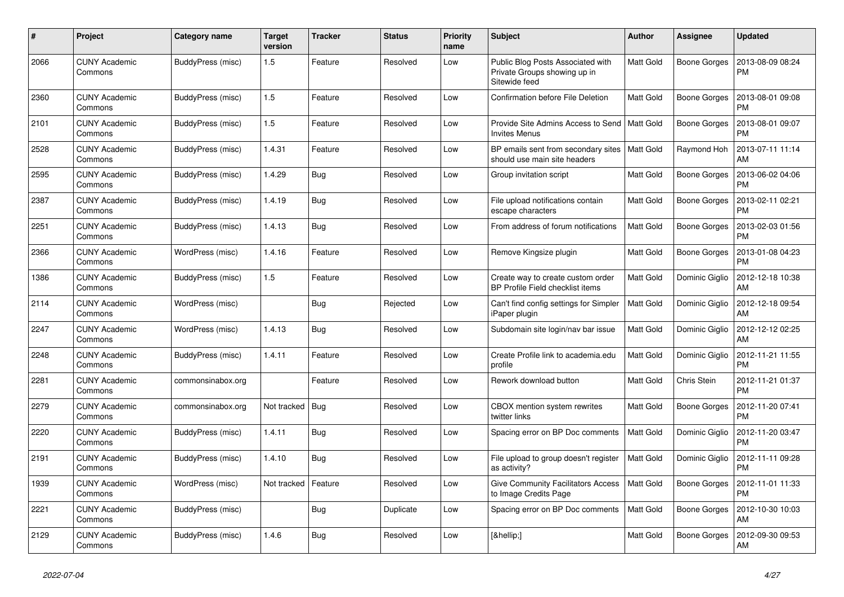| #    | Project                         | Category name     | <b>Target</b><br>version | <b>Tracker</b> | <b>Status</b> | <b>Priority</b><br>name | <b>Subject</b>                                                                     | <b>Author</b>    | <b>Assignee</b>     | <b>Updated</b>                |
|------|---------------------------------|-------------------|--------------------------|----------------|---------------|-------------------------|------------------------------------------------------------------------------------|------------------|---------------------|-------------------------------|
| 2066 | <b>CUNY Academic</b><br>Commons | BuddyPress (misc) | 1.5                      | Feature        | Resolved      | Low                     | Public Blog Posts Associated with<br>Private Groups showing up in<br>Sitewide feed | <b>Matt Gold</b> | Boone Gorges        | 2013-08-09 08:24<br><b>PM</b> |
| 2360 | <b>CUNY Academic</b><br>Commons | BuddyPress (misc) | 1.5                      | Feature        | Resolved      | Low                     | <b>Confirmation before File Deletion</b>                                           | <b>Matt Gold</b> | Boone Gorges        | 2013-08-01 09:08<br><b>PM</b> |
| 2101 | <b>CUNY Academic</b><br>Commons | BuddyPress (misc) | 1.5                      | Feature        | Resolved      | Low                     | Provide Site Admins Access to Send   Matt Gold<br><b>Invites Menus</b>             |                  | Boone Gorges        | 2013-08-01 09:07<br><b>PM</b> |
| 2528 | <b>CUNY Academic</b><br>Commons | BuddyPress (misc) | 1.4.31                   | Feature        | Resolved      | Low                     | BP emails sent from secondary sites<br>should use main site headers                | Matt Gold        | Raymond Hoh         | 2013-07-11 11:14<br>AM        |
| 2595 | <b>CUNY Academic</b><br>Commons | BuddyPress (misc) | 1.4.29                   | Bug            | Resolved      | Low                     | Group invitation script                                                            | Matt Gold        | Boone Gorges        | 2013-06-02 04:06<br><b>PM</b> |
| 2387 | <b>CUNY Academic</b><br>Commons | BuddyPress (misc) | 1.4.19                   | <b>Bug</b>     | Resolved      | Low                     | File upload notifications contain<br>escape characters                             | <b>Matt Gold</b> | <b>Boone Gorges</b> | 2013-02-11 02:21<br><b>PM</b> |
| 2251 | <b>CUNY Academic</b><br>Commons | BuddyPress (misc) | 1.4.13                   | Bug            | Resolved      | Low                     | From address of forum notifications                                                | <b>Matt Gold</b> | <b>Boone Gorges</b> | 2013-02-03 01:56<br><b>PM</b> |
| 2366 | <b>CUNY Academic</b><br>Commons | WordPress (misc)  | 1.4.16                   | Feature        | Resolved      | Low                     | Remove Kingsize plugin                                                             | Matt Gold        | <b>Boone Gorges</b> | 2013-01-08 04:23<br><b>PM</b> |
| 1386 | <b>CUNY Academic</b><br>Commons | BuddyPress (misc) | 1.5                      | Feature        | Resolved      | Low                     | Create way to create custom order<br>BP Profile Field checklist items              | <b>Matt Gold</b> | Dominic Giglio      | 2012-12-18 10:38<br>AM        |
| 2114 | <b>CUNY Academic</b><br>Commons | WordPress (misc)  |                          | <b>Bug</b>     | Rejected      | Low                     | Can't find config settings for Simpler<br>iPaper plugin                            | Matt Gold        | Dominic Giglio      | 2012-12-18 09:54<br>AM        |
| 2247 | <b>CUNY Academic</b><br>Commons | WordPress (misc)  | 1.4.13                   | Bug            | Resolved      | Low                     | Subdomain site login/nav bar issue                                                 | Matt Gold        | Dominic Giglio      | 2012-12-12 02:25<br>AM        |
| 2248 | <b>CUNY Academic</b><br>Commons | BuddyPress (misc) | 1.4.11                   | Feature        | Resolved      | Low                     | Create Profile link to academia.edu<br>profile                                     | <b>Matt Gold</b> | Dominic Giglio      | 2012-11-21 11:55<br><b>PM</b> |
| 2281 | <b>CUNY Academic</b><br>Commons | commonsinabox.org |                          | Feature        | Resolved      | Low                     | Rework download button                                                             | <b>Matt Gold</b> | Chris Stein         | 2012-11-21 01:37<br><b>PM</b> |
| 2279 | <b>CUNY Academic</b><br>Commons | commonsinabox.org | Not tracked              | Bug            | Resolved      | Low                     | CBOX mention system rewrites<br>twitter links                                      | Matt Gold        | Boone Gorges        | 2012-11-20 07:41<br><b>PM</b> |
| 2220 | <b>CUNY Academic</b><br>Commons | BuddyPress (misc) | 1.4.11                   | <b>Bug</b>     | Resolved      | Low                     | Spacing error on BP Doc comments                                                   | <b>Matt Gold</b> | Dominic Giglio      | 2012-11-20 03:47<br><b>PM</b> |
| 2191 | <b>CUNY Academic</b><br>Commons | BuddyPress (misc) | 1.4.10                   | <b>Bug</b>     | Resolved      | Low                     | File upload to group doesn't register<br>as activity?                              | <b>Matt Gold</b> | Dominic Giglio      | 2012-11-11 09:28<br><b>PM</b> |
| 1939 | <b>CUNY Academic</b><br>Commons | WordPress (misc)  | Not tracked              | Feature        | Resolved      | Low                     | <b>Give Community Facilitators Access</b><br>to Image Credits Page                 | Matt Gold        | Boone Gorges        | 2012-11-01 11:33<br><b>PM</b> |
| 2221 | <b>CUNY Academic</b><br>Commons | BuddyPress (misc) |                          | <b>Bug</b>     | Duplicate     | Low                     | Spacing error on BP Doc comments                                                   | Matt Gold        | <b>Boone Gorges</b> | 2012-10-30 10:03<br>AM        |
| 2129 | <b>CUNY Academic</b><br>Commons | BuddyPress (misc) | 1.4.6                    | Bug            | Resolved      | Low                     | […]                                                                                | Matt Gold        | Boone Gorges        | 2012-09-30 09:53<br>AM        |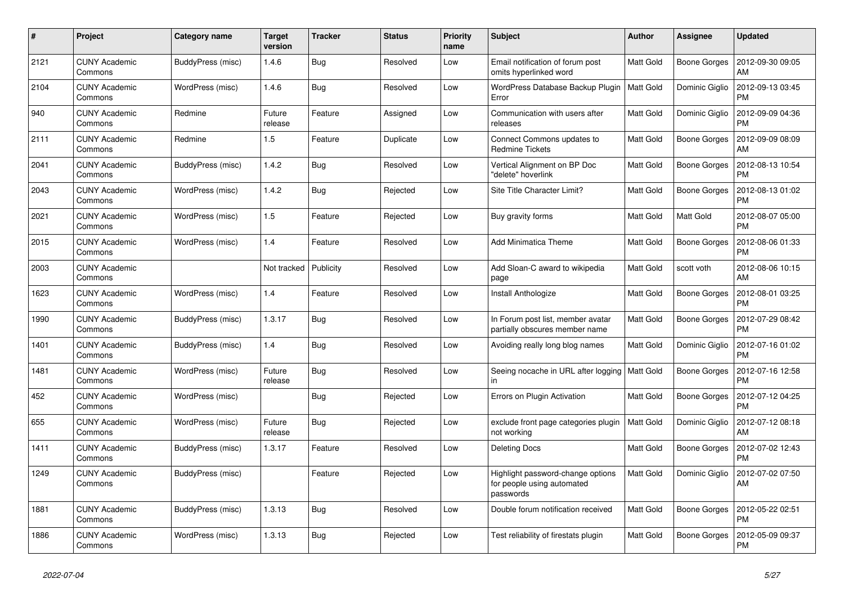| #    | Project                         | Category name     | Target<br>version | <b>Tracker</b> | <b>Status</b> | <b>Priority</b><br>name | <b>Subject</b>                                                               | <b>Author</b>    | <b>Assignee</b>     | <b>Updated</b>                |
|------|---------------------------------|-------------------|-------------------|----------------|---------------|-------------------------|------------------------------------------------------------------------------|------------------|---------------------|-------------------------------|
| 2121 | <b>CUNY Academic</b><br>Commons | BuddyPress (misc) | 1.4.6             | <b>Bug</b>     | Resolved      | Low                     | Email notification of forum post<br>omits hyperlinked word                   | <b>Matt Gold</b> | Boone Gorges        | 2012-09-30 09:05<br>AM        |
| 2104 | <b>CUNY Academic</b><br>Commons | WordPress (misc)  | 1.4.6             | Bug            | Resolved      | Low                     | WordPress Database Backup Plugin<br>Error                                    | Matt Gold        | Dominic Giglio      | 2012-09-13 03:45<br><b>PM</b> |
| 940  | <b>CUNY Academic</b><br>Commons | Redmine           | Future<br>release | Feature        | Assigned      | Low                     | Communication with users after<br>releases                                   | Matt Gold        | Dominic Giglio      | 2012-09-09 04:36<br><b>PM</b> |
| 2111 | <b>CUNY Academic</b><br>Commons | Redmine           | 1.5               | Feature        | Duplicate     | Low                     | Connect Commons updates to<br><b>Redmine Tickets</b>                         | Matt Gold        | Boone Gorges        | 2012-09-09 08:09<br>AM        |
| 2041 | <b>CUNY Academic</b><br>Commons | BuddyPress (misc) | 1.4.2             | Bug            | Resolved      | Low                     | Vertical Alignment on BP Doc<br>"delete" hoverlink                           | Matt Gold        | Boone Gorges        | 2012-08-13 10:54<br><b>PM</b> |
| 2043 | <b>CUNY Academic</b><br>Commons | WordPress (misc)  | 1.4.2             | <b>Bug</b>     | Rejected      | Low                     | Site Title Character Limit?                                                  | <b>Matt Gold</b> | <b>Boone Gorges</b> | 2012-08-13 01:02<br><b>PM</b> |
| 2021 | <b>CUNY Academic</b><br>Commons | WordPress (misc)  | 1.5               | Feature        | Rejected      | Low                     | Buy gravity forms                                                            | Matt Gold        | Matt Gold           | 2012-08-07 05:00<br><b>PM</b> |
| 2015 | <b>CUNY Academic</b><br>Commons | WordPress (misc)  | 1.4               | Feature        | Resolved      | Low                     | Add Minimatica Theme                                                         | Matt Gold        | Boone Gorges        | 2012-08-06 01:33<br><b>PM</b> |
| 2003 | <b>CUNY Academic</b><br>Commons |                   | Not tracked       | Publicity      | Resolved      | Low                     | Add Sloan-C award to wikipedia<br>page                                       | <b>Matt Gold</b> | scott voth          | 2012-08-06 10:15<br>AM        |
| 1623 | <b>CUNY Academic</b><br>Commons | WordPress (misc)  | 1.4               | Feature        | Resolved      | Low                     | Install Anthologize                                                          | <b>Matt Gold</b> | Boone Gorges        | 2012-08-01 03:25<br><b>PM</b> |
| 1990 | <b>CUNY Academic</b><br>Commons | BuddyPress (misc) | 1.3.17            | <b>Bug</b>     | Resolved      | Low                     | In Forum post list, member avatar<br>partially obscures member name          | Matt Gold        | <b>Boone Gorges</b> | 2012-07-29 08:42<br><b>PM</b> |
| 1401 | <b>CUNY Academic</b><br>Commons | BuddyPress (misc) | 1.4               | <b>Bug</b>     | Resolved      | Low                     | Avoiding really long blog names                                              | <b>Matt Gold</b> | Dominic Giglio      | 2012-07-16 01:02<br><b>PM</b> |
| 1481 | <b>CUNY Academic</b><br>Commons | WordPress (misc)  | Future<br>release | <b>Bug</b>     | Resolved      | Low                     | Seeing nocache in URL after logging<br>in                                    | Matt Gold        | Boone Gorges        | 2012-07-16 12:58<br><b>PM</b> |
| 452  | <b>CUNY Academic</b><br>Commons | WordPress (misc)  |                   | Bug            | Rejected      | Low                     | Errors on Plugin Activation                                                  | <b>Matt Gold</b> | <b>Boone Gorges</b> | 2012-07-12 04:25<br><b>PM</b> |
| 655  | <b>CUNY Academic</b><br>Commons | WordPress (misc)  | Future<br>release | Bug            | Rejected      | Low                     | exclude front page categories plugin<br>not working                          | <b>Matt Gold</b> | Dominic Giglio      | 2012-07-12 08:18<br>AM        |
| 1411 | <b>CUNY Academic</b><br>Commons | BuddyPress (misc) | 1.3.17            | Feature        | Resolved      | Low                     | Deleting Docs                                                                | Matt Gold        | Boone Gorges        | 2012-07-02 12:43<br><b>PM</b> |
| 1249 | <b>CUNY Academic</b><br>Commons | BuddyPress (misc) |                   | Feature        | Rejected      | Low                     | Highlight password-change options<br>for people using automated<br>passwords | <b>Matt Gold</b> | Dominic Giglio      | 2012-07-02 07:50<br>AM        |
| 1881 | <b>CUNY Academic</b><br>Commons | BuddyPress (misc) | 1.3.13            | <b>Bug</b>     | Resolved      | Low                     | Double forum notification received                                           | Matt Gold        | <b>Boone Gorges</b> | 2012-05-22 02:51<br><b>PM</b> |
| 1886 | <b>CUNY Academic</b><br>Commons | WordPress (misc)  | 1.3.13            | Bug            | Rejected      | Low                     | Test reliability of firestats plugin                                         | Matt Gold        | <b>Boone Gorges</b> | 2012-05-09 09:37<br><b>PM</b> |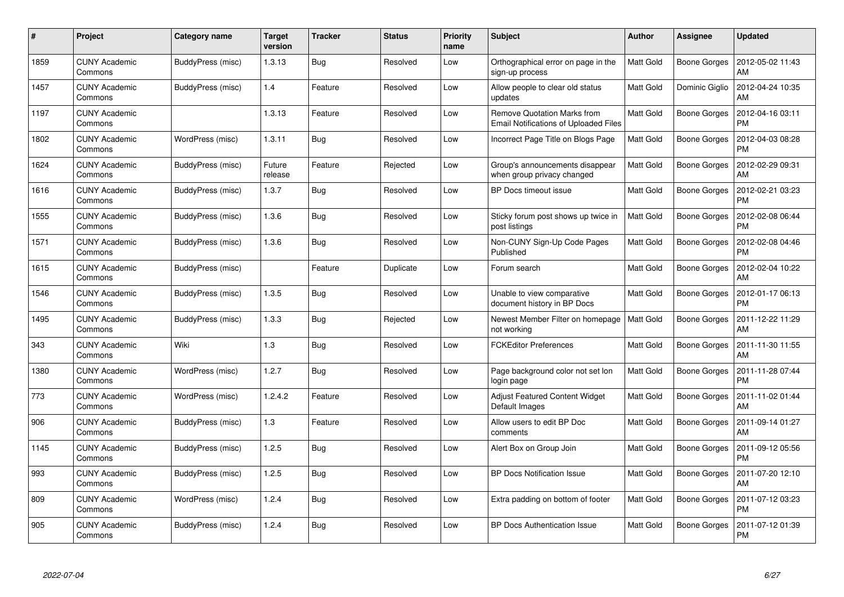| $\#$ | Project                         | Category name            | Target<br>version | <b>Tracker</b> | <b>Status</b> | <b>Priority</b><br>name | <b>Subject</b>                                                                     | <b>Author</b>    | <b>Assignee</b>     | <b>Updated</b>                |
|------|---------------------------------|--------------------------|-------------------|----------------|---------------|-------------------------|------------------------------------------------------------------------------------|------------------|---------------------|-------------------------------|
| 1859 | <b>CUNY Academic</b><br>Commons | BuddyPress (misc)        | 1.3.13            | <b>Bug</b>     | Resolved      | Low                     | Orthographical error on page in the<br>sign-up process                             | Matt Gold        | <b>Boone Gorges</b> | 2012-05-02 11:43<br>AM        |
| 1457 | <b>CUNY Academic</b><br>Commons | BuddyPress (misc)        | 1.4               | Feature        | Resolved      | Low                     | Allow people to clear old status<br>updates                                        | <b>Matt Gold</b> | Dominic Giglio      | 2012-04-24 10:35<br>AM        |
| 1197 | <b>CUNY Academic</b><br>Commons |                          | 1.3.13            | Feature        | Resolved      | Low                     | <b>Remove Quotation Marks from</b><br><b>Email Notifications of Uploaded Files</b> | <b>Matt Gold</b> | <b>Boone Gorges</b> | 2012-04-16 03:11<br><b>PM</b> |
| 1802 | <b>CUNY Academic</b><br>Commons | WordPress (misc)         | 1.3.11            | <b>Bug</b>     | Resolved      | Low                     | Incorrect Page Title on Blogs Page                                                 | <b>Matt Gold</b> | <b>Boone Gorges</b> | 2012-04-03 08:28<br><b>PM</b> |
| 1624 | <b>CUNY Academic</b><br>Commons | BuddyPress (misc)        | Future<br>release | Feature        | Rejected      | Low                     | Group's announcements disappear<br>when group privacy changed                      | <b>Matt Gold</b> | <b>Boone Gorges</b> | 2012-02-29 09:31<br>AM        |
| 1616 | <b>CUNY Academic</b><br>Commons | BuddyPress (misc)        | 1.3.7             | <b>Bug</b>     | Resolved      | Low                     | BP Docs timeout issue                                                              | Matt Gold        | <b>Boone Gorges</b> | 2012-02-21 03:23<br><b>PM</b> |
| 1555 | <b>CUNY Academic</b><br>Commons | BuddyPress (misc)        | 1.3.6             | Bug            | Resolved      | Low                     | Sticky forum post shows up twice in<br>post listings                               | <b>Matt Gold</b> | <b>Boone Gorges</b> | 2012-02-08 06:44<br><b>PM</b> |
| 1571 | <b>CUNY Academic</b><br>Commons | BuddyPress (misc)        | 1.3.6             | Bug            | Resolved      | Low                     | Non-CUNY Sign-Up Code Pages<br>Published                                           | Matt Gold        | <b>Boone Gorges</b> | 2012-02-08 04:46<br><b>PM</b> |
| 1615 | <b>CUNY Academic</b><br>Commons | BuddyPress (misc)        |                   | Feature        | Duplicate     | Low                     | Forum search                                                                       | <b>Matt Gold</b> | <b>Boone Gorges</b> | 2012-02-04 10:22<br>AM        |
| 1546 | <b>CUNY Academic</b><br>Commons | BuddyPress (misc)        | 1.3.5             | Bug            | Resolved      | Low                     | Unable to view comparative<br>document history in BP Docs                          | <b>Matt Gold</b> | <b>Boone Gorges</b> | 2012-01-17 06:13<br><b>PM</b> |
| 1495 | <b>CUNY Academic</b><br>Commons | BuddyPress (misc)        | 1.3.3             | Bug            | Rejected      | Low                     | Newest Member Filter on homepage<br>not working                                    | <b>Matt Gold</b> | Boone Gorges        | 2011-12-22 11:29<br>AM        |
| 343  | <b>CUNY Academic</b><br>Commons | Wiki                     | 1.3               | <b>Bug</b>     | Resolved      | Low                     | <b>FCKEditor Preferences</b>                                                       | Matt Gold        | <b>Boone Gorges</b> | 2011-11-30 11:55<br>AM        |
| 1380 | <b>CUNY Academic</b><br>Commons | WordPress (misc)         | 1.2.7             | Bug            | Resolved      | Low                     | Page background color not set lon<br>login page                                    | <b>Matt Gold</b> | <b>Boone Gorges</b> | 2011-11-28 07:44<br><b>PM</b> |
| 773  | <b>CUNY Academic</b><br>Commons | WordPress (misc)         | 1.2.4.2           | Feature        | Resolved      | Low                     | Adjust Featured Content Widget<br>Default Images                                   | Matt Gold        | <b>Boone Gorges</b> | 2011-11-02 01:44<br>AM        |
| 906  | <b>CUNY Academic</b><br>Commons | BuddyPress (misc)        | 1.3               | Feature        | Resolved      | Low                     | Allow users to edit BP Doc<br>comments                                             | Matt Gold        | <b>Boone Gorges</b> | 2011-09-14 01:27<br>AM        |
| 1145 | <b>CUNY Academic</b><br>Commons | <b>BuddyPress (misc)</b> | 1.2.5             | Bug            | Resolved      | Low                     | Alert Box on Group Join                                                            | Matt Gold        | <b>Boone Gorges</b> | 2011-09-12 05:56<br><b>PM</b> |
| 993  | <b>CUNY Academic</b><br>Commons | BuddyPress (misc)        | 1.2.5             | Bug            | Resolved      | Low                     | <b>BP Docs Notification Issue</b>                                                  | <b>Matt Gold</b> | Boone Gorges        | 2011-07-20 12:10<br>AM        |
| 809  | <b>CUNY Academic</b><br>Commons | WordPress (misc)         | 1.2.4             | Bug            | Resolved      | Low                     | Extra padding on bottom of footer                                                  | Matt Gold        | <b>Boone Gorges</b> | 2011-07-12 03:23<br><b>PM</b> |
| 905  | <b>CUNY Academic</b><br>Commons | BuddyPress (misc)        | 1.2.4             | <b>Bug</b>     | Resolved      | Low                     | <b>BP Docs Authentication Issue</b>                                                | Matt Gold        | <b>Boone Gorges</b> | 2011-07-12 01:39<br><b>PM</b> |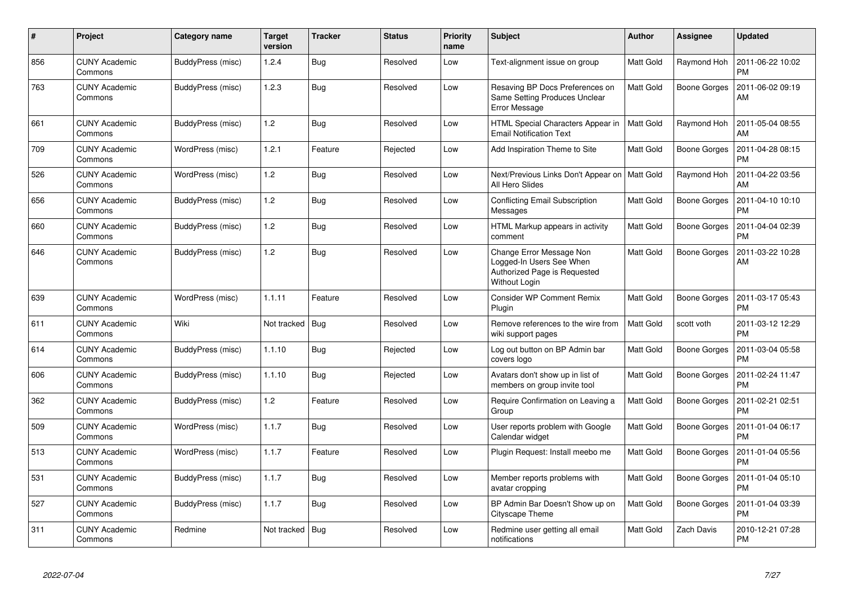| $\#$ | Project                         | Category name     | <b>Target</b><br>version | <b>Tracker</b> | <b>Status</b> | <b>Priority</b><br>name | <b>Subject</b>                                                                                        | <b>Author</b>    | Assignee            | <b>Updated</b>                |
|------|---------------------------------|-------------------|--------------------------|----------------|---------------|-------------------------|-------------------------------------------------------------------------------------------------------|------------------|---------------------|-------------------------------|
| 856  | <b>CUNY Academic</b><br>Commons | BuddyPress (misc) | 1.2.4                    | Bug            | Resolved      | Low                     | Text-alignment issue on group                                                                         | Matt Gold        | Raymond Hoh         | 2011-06-22 10:02<br><b>PM</b> |
| 763  | <b>CUNY Academic</b><br>Commons | BuddyPress (misc) | 1.2.3                    | Bug            | Resolved      | Low                     | Resaving BP Docs Preferences on<br>Same Setting Produces Unclear<br>Error Message                     | <b>Matt Gold</b> | <b>Boone Gorges</b> | 2011-06-02 09:19<br>AM        |
| 661  | <b>CUNY Academic</b><br>Commons | BuddyPress (misc) | 1.2                      | Bug            | Resolved      | Low                     | HTML Special Characters Appear in<br><b>Email Notification Text</b>                                   | <b>Matt Gold</b> | Raymond Hoh         | 2011-05-04 08:55<br>AM        |
| 709  | <b>CUNY Academic</b><br>Commons | WordPress (misc)  | 1.2.1                    | Feature        | Rejected      | Low                     | Add Inspiration Theme to Site                                                                         | Matt Gold        | <b>Boone Gorges</b> | 2011-04-28 08:15<br><b>PM</b> |
| 526  | <b>CUNY Academic</b><br>Commons | WordPress (misc)  | 1.2                      | <b>Bug</b>     | Resolved      | Low                     | Next/Previous Links Don't Appear on<br>All Hero Slides                                                | <b>Matt Gold</b> | Raymond Hoh         | 2011-04-22 03:56<br>AM        |
| 656  | <b>CUNY Academic</b><br>Commons | BuddyPress (misc) | 1.2                      | Bug            | Resolved      | Low                     | <b>Conflicting Email Subscription</b><br>Messages                                                     | Matt Gold        | Boone Gorges        | 2011-04-10 10:10<br><b>PM</b> |
| 660  | <b>CUNY Academic</b><br>Commons | BuddyPress (misc) | 1.2                      | Bug            | Resolved      | Low                     | HTML Markup appears in activity<br>comment                                                            | Matt Gold        | Boone Gorges        | 2011-04-04 02:39<br><b>PM</b> |
| 646  | <b>CUNY Academic</b><br>Commons | BuddyPress (misc) | 1.2                      | Bug            | Resolved      | Low                     | Change Error Message Non<br>Logged-In Users See When<br>Authorized Page is Requested<br>Without Login | Matt Gold        | <b>Boone Gorges</b> | 2011-03-22 10:28<br>AM        |
| 639  | <b>CUNY Academic</b><br>Commons | WordPress (misc)  | 1.1.11                   | Feature        | Resolved      | Low                     | <b>Consider WP Comment Remix</b><br>Plugin                                                            | <b>Matt Gold</b> | Boone Gorges        | 2011-03-17 05:43<br><b>PM</b> |
| 611  | <b>CUNY Academic</b><br>Commons | Wiki              | Not tracked              | <b>Bug</b>     | Resolved      | Low                     | Remove references to the wire from<br>wiki support pages                                              | <b>Matt Gold</b> | scott voth          | 2011-03-12 12:29<br><b>PM</b> |
| 614  | <b>CUNY Academic</b><br>Commons | BuddyPress (misc) | 1.1.10                   | Bug            | Rejected      | Low                     | Log out button on BP Admin bar<br>covers logo                                                         | <b>Matt Gold</b> | <b>Boone Gorges</b> | 2011-03-04 05:58<br><b>PM</b> |
| 606  | <b>CUNY Academic</b><br>Commons | BuddyPress (misc) | 1.1.10                   | Bug            | Rejected      | Low                     | Avatars don't show up in list of<br>members on group invite tool                                      | <b>Matt Gold</b> | Boone Gorges        | 2011-02-24 11:47<br><b>PM</b> |
| 362  | <b>CUNY Academic</b><br>Commons | BuddyPress (misc) | 1.2                      | Feature        | Resolved      | Low                     | Require Confirmation on Leaving a<br>Group                                                            | <b>Matt Gold</b> | Boone Gorges        | 2011-02-21 02:51<br><b>PM</b> |
| 509  | <b>CUNY Academic</b><br>Commons | WordPress (misc)  | 1.1.7                    | Bug            | Resolved      | Low                     | User reports problem with Google<br>Calendar widget                                                   | Matt Gold        | <b>Boone Gorges</b> | 2011-01-04 06:17<br><b>PM</b> |
| 513  | <b>CUNY Academic</b><br>Commons | WordPress (misc)  | 1.1.7                    | Feature        | Resolved      | Low                     | Plugin Request: Install meebo me                                                                      | <b>Matt Gold</b> | Boone Gorges        | 2011-01-04 05:56<br><b>PM</b> |
| 531  | <b>CUNY Academic</b><br>Commons | BuddyPress (misc) | 1.1.7                    | <b>Bug</b>     | Resolved      | Low                     | Member reports problems with<br>avatar cropping                                                       | Matt Gold        | Boone Gorges        | 2011-01-04 05:10<br><b>PM</b> |
| 527  | <b>CUNY Academic</b><br>Commons | BuddyPress (misc) | 1.1.7                    | Bug            | Resolved      | Low                     | BP Admin Bar Doesn't Show up on<br>Cityscape Theme                                                    | Matt Gold        | Boone Gorges        | 2011-01-04 03:39<br><b>PM</b> |
| 311  | <b>CUNY Academic</b><br>Commons | Redmine           | Not tracked              | Bug            | Resolved      | Low                     | Redmine user getting all email<br>notifications                                                       | Matt Gold        | Zach Davis          | 2010-12-21 07:28<br><b>PM</b> |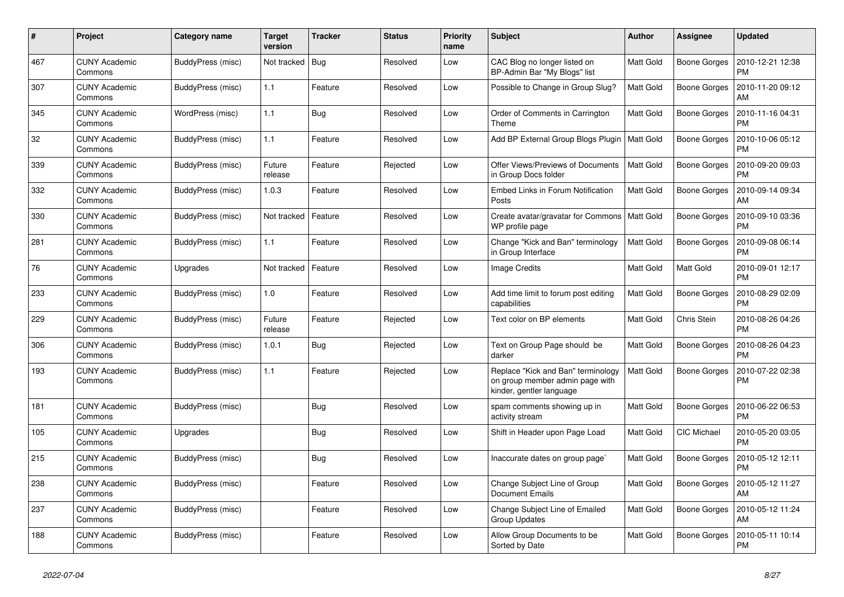| #   | Project                         | Category name     | Target<br>version | <b>Tracker</b> | <b>Status</b> | <b>Priority</b><br>name | <b>Subject</b>                                                                                    | <b>Author</b>    | <b>Assignee</b>     | <b>Updated</b>                |
|-----|---------------------------------|-------------------|-------------------|----------------|---------------|-------------------------|---------------------------------------------------------------------------------------------------|------------------|---------------------|-------------------------------|
| 467 | <b>CUNY Academic</b><br>Commons | BuddyPress (misc) | Not tracked       | Bug            | Resolved      | Low                     | CAC Blog no longer listed on<br>BP-Admin Bar "My Blogs" list                                      | <b>Matt Gold</b> | Boone Gorges        | 2010-12-21 12:38<br><b>PM</b> |
| 307 | <b>CUNY Academic</b><br>Commons | BuddyPress (misc) | 1.1               | Feature        | Resolved      | Low                     | Possible to Change in Group Slug?                                                                 | <b>Matt Gold</b> | Boone Gorges        | 2010-11-20 09:12<br>AM        |
| 345 | <b>CUNY Academic</b><br>Commons | WordPress (misc)  | 1.1               | Bug            | Resolved      | Low                     | Order of Comments in Carrington<br>Theme                                                          | Matt Gold        | Boone Gorges        | 2010-11-16 04:31<br><b>PM</b> |
| 32  | <b>CUNY Academic</b><br>Commons | BuddyPress (misc) | 1.1               | Feature        | Resolved      | Low                     | Add BP External Group Blogs Plugin   Matt Gold                                                    |                  | Boone Gorges        | 2010-10-06 05:12<br><b>PM</b> |
| 339 | <b>CUNY Academic</b><br>Commons | BuddyPress (misc) | Future<br>release | Feature        | Rejected      | Low                     | Offer Views/Previews of Documents<br>in Group Docs folder                                         | Matt Gold        | <b>Boone Gorges</b> | 2010-09-20 09:03<br><b>PM</b> |
| 332 | <b>CUNY Academic</b><br>Commons | BuddyPress (misc) | 1.0.3             | Feature        | Resolved      | Low                     | <b>Embed Links in Forum Notification</b><br>Posts                                                 | <b>Matt Gold</b> | Boone Gorges        | 2010-09-14 09:34<br>AM        |
| 330 | <b>CUNY Academic</b><br>Commons | BuddyPress (misc) | Not tracked       | Feature        | Resolved      | Low                     | Create avatar/gravatar for Commons   Matt Gold<br>WP profile page                                 |                  | Boone Gorges        | 2010-09-10 03:36<br><b>PM</b> |
| 281 | <b>CUNY Academic</b><br>Commons | BuddyPress (misc) | 1.1               | Feature        | Resolved      | Low                     | Change "Kick and Ban" terminology<br>in Group Interface                                           | <b>Matt Gold</b> | Boone Gorges        | 2010-09-08 06:14<br><b>PM</b> |
| 76  | <b>CUNY Academic</b><br>Commons | Upgrades          | Not tracked       | Feature        | Resolved      | Low                     | Image Credits                                                                                     | <b>Matt Gold</b> | Matt Gold           | 2010-09-01 12:17<br><b>PM</b> |
| 233 | <b>CUNY Academic</b><br>Commons | BuddyPress (misc) | 1.0               | Feature        | Resolved      | Low                     | Add time limit to forum post editing<br>capabilities                                              | Matt Gold        | Boone Gorges        | 2010-08-29 02:09<br><b>PM</b> |
| 229 | <b>CUNY Academic</b><br>Commons | BuddyPress (misc) | Future<br>release | Feature        | Rejected      | Low                     | Text color on BP elements                                                                         | Matt Gold        | Chris Stein         | 2010-08-26 04:26<br><b>PM</b> |
| 306 | <b>CUNY Academic</b><br>Commons | BuddyPress (misc) | 1.0.1             | Bug            | Rejected      | Low                     | Text on Group Page should be<br>darker                                                            | <b>Matt Gold</b> | <b>Boone Gorges</b> | 2010-08-26 04:23<br><b>PM</b> |
| 193 | <b>CUNY Academic</b><br>Commons | BuddyPress (misc) | 1.1               | Feature        | Rejected      | Low                     | Replace "Kick and Ban" terminology<br>on group member admin page with<br>kinder, gentler language | Matt Gold        | Boone Gorges        | 2010-07-22 02:38<br><b>PM</b> |
| 181 | <b>CUNY Academic</b><br>Commons | BuddyPress (misc) |                   | Bug            | Resolved      | Low                     | spam comments showing up in<br>activity stream                                                    | <b>Matt Gold</b> | Boone Gorges        | 2010-06-22 06:53<br><b>PM</b> |
| 105 | <b>CUNY Academic</b><br>Commons | Upgrades          |                   | <b>Bug</b>     | Resolved      | Low                     | Shift in Header upon Page Load                                                                    | <b>Matt Gold</b> | CIC Michael         | 2010-05-20 03:05<br><b>PM</b> |
| 215 | <b>CUNY Academic</b><br>Commons | BuddyPress (misc) |                   | <b>Bug</b>     | Resolved      | Low                     | Inaccurate dates on group page`                                                                   | Matt Gold        | Boone Gorges        | 2010-05-12 12:11<br><b>PM</b> |
| 238 | <b>CUNY Academic</b><br>Commons | BuddyPress (misc) |                   | Feature        | Resolved      | Low                     | Change Subject Line of Group<br><b>Document Emails</b>                                            | <b>Matt Gold</b> | Boone Gorges        | 2010-05-12 11:27<br>AM        |
| 237 | <b>CUNY Academic</b><br>Commons | BuddyPress (misc) |                   | Feature        | Resolved      | Low                     | Change Subject Line of Emailed<br><b>Group Updates</b>                                            | <b>Matt Gold</b> | Boone Gorges        | 2010-05-12 11:24<br>AM        |
| 188 | <b>CUNY Academic</b><br>Commons | BuddyPress (misc) |                   | Feature        | Resolved      | Low                     | Allow Group Documents to be<br>Sorted by Date                                                     | Matt Gold        | Boone Gorges        | 2010-05-11 10:14<br><b>PM</b> |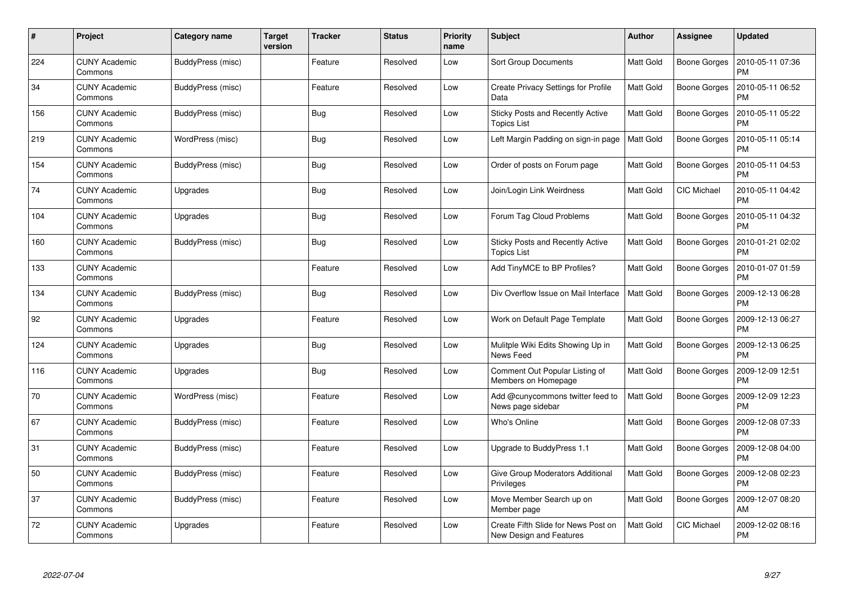| #   | Project                         | Category name     | <b>Target</b><br>version | <b>Tracker</b> | <b>Status</b> | <b>Priority</b><br>name | <b>Subject</b>                                                 | <b>Author</b>    | Assignee            | <b>Updated</b>                |
|-----|---------------------------------|-------------------|--------------------------|----------------|---------------|-------------------------|----------------------------------------------------------------|------------------|---------------------|-------------------------------|
| 224 | <b>CUNY Academic</b><br>Commons | BuddyPress (misc) |                          | Feature        | Resolved      | Low                     | <b>Sort Group Documents</b>                                    | <b>Matt Gold</b> | Boone Gorges        | 2010-05-11 07:36<br><b>PM</b> |
| 34  | <b>CUNY Academic</b><br>Commons | BuddyPress (misc) |                          | Feature        | Resolved      | Low                     | Create Privacy Settings for Profile<br>Data                    | <b>Matt Gold</b> | Boone Gorges        | 2010-05-11 06:52<br><b>PM</b> |
| 156 | <b>CUNY Academic</b><br>Commons | BuddyPress (misc) |                          | <b>Bug</b>     | Resolved      | Low                     | Sticky Posts and Recently Active<br><b>Topics List</b>         | Matt Gold        | <b>Boone Gorges</b> | 2010-05-11 05:22<br><b>PM</b> |
| 219 | <b>CUNY Academic</b><br>Commons | WordPress (misc)  |                          | <b>Bug</b>     | Resolved      | Low                     | Left Margin Padding on sign-in page                            | <b>Matt Gold</b> | Boone Gorges        | 2010-05-11 05:14<br><b>PM</b> |
| 154 | <b>CUNY Academic</b><br>Commons | BuddyPress (misc) |                          | <b>Bug</b>     | Resolved      | Low                     | Order of posts on Forum page                                   | <b>Matt Gold</b> | <b>Boone Gorges</b> | 2010-05-11 04:53<br><b>PM</b> |
| 74  | <b>CUNY Academic</b><br>Commons | Upgrades          |                          | <b>Bug</b>     | Resolved      | Low                     | Join/Login Link Weirdness                                      | Matt Gold        | CIC Michael         | 2010-05-11 04:42<br><b>PM</b> |
| 104 | <b>CUNY Academic</b><br>Commons | Upgrades          |                          | <b>Bug</b>     | Resolved      | Low                     | Forum Tag Cloud Problems                                       | Matt Gold        | <b>Boone Gorges</b> | 2010-05-11 04:32<br><b>PM</b> |
| 160 | <b>CUNY Academic</b><br>Commons | BuddyPress (misc) |                          | <b>Bug</b>     | Resolved      | Low                     | Sticky Posts and Recently Active<br><b>Topics List</b>         | <b>Matt Gold</b> | <b>Boone Gorges</b> | 2010-01-21 02:02<br><b>PM</b> |
| 133 | <b>CUNY Academic</b><br>Commons |                   |                          | Feature        | Resolved      | Low                     | Add TinyMCE to BP Profiles?                                    | <b>Matt Gold</b> | Boone Gorges        | 2010-01-07 01:59<br><b>PM</b> |
| 134 | <b>CUNY Academic</b><br>Commons | BuddyPress (misc) |                          | <b>Bug</b>     | Resolved      | Low                     | Div Overflow Issue on Mail Interface                           | <b>Matt Gold</b> | Boone Gorges        | 2009-12-13 06:28<br>PM        |
| 92  | <b>CUNY Academic</b><br>Commons | Upgrades          |                          | Feature        | Resolved      | Low                     | Work on Default Page Template                                  | <b>Matt Gold</b> | Boone Gorges        | 2009-12-13 06:27<br><b>PM</b> |
| 124 | <b>CUNY Academic</b><br>Commons | Upgrades          |                          | <b>Bug</b>     | Resolved      | Low                     | Mulitple Wiki Edits Showing Up in<br>News Feed                 | Matt Gold        | Boone Gorges        | 2009-12-13 06:25<br><b>PM</b> |
| 116 | <b>CUNY Academic</b><br>Commons | Upgrades          |                          | <b>Bug</b>     | Resolved      | Low                     | Comment Out Popular Listing of<br>Members on Homepage          | Matt Gold        | <b>Boone Gorges</b> | 2009-12-09 12:51<br><b>PM</b> |
| 70  | <b>CUNY Academic</b><br>Commons | WordPress (misc)  |                          | Feature        | Resolved      | Low                     | Add @cunycommons twitter feed to<br>News page sidebar          | Matt Gold        | Boone Gorges        | 2009-12-09 12:23<br><b>PM</b> |
| 67  | <b>CUNY Academic</b><br>Commons | BuddyPress (misc) |                          | Feature        | Resolved      | Low                     | Who's Online                                                   | <b>Matt Gold</b> | <b>Boone Gorges</b> | 2009-12-08 07:33<br><b>PM</b> |
| 31  | <b>CUNY Academic</b><br>Commons | BuddyPress (misc) |                          | Feature        | Resolved      | Low                     | Upgrade to BuddyPress 1.1                                      | Matt Gold        | <b>Boone Gorges</b> | 2009-12-08 04:00<br><b>PM</b> |
| 50  | <b>CUNY Academic</b><br>Commons | BuddyPress (misc) |                          | Feature        | Resolved      | Low                     | Give Group Moderators Additional<br>Privileges                 | Matt Gold        | Boone Gorges        | 2009-12-08 02:23<br><b>PM</b> |
| 37  | <b>CUNY Academic</b><br>Commons | BuddyPress (misc) |                          | Feature        | Resolved      | Low                     | Move Member Search up on<br>Member page                        | Matt Gold        | Boone Gorges        | 2009-12-07 08:20<br>AM        |
| 72  | <b>CUNY Academic</b><br>Commons | Upgrades          |                          | Feature        | Resolved      | Low                     | Create Fifth Slide for News Post on<br>New Design and Features | <b>Matt Gold</b> | <b>CIC Michael</b>  | 2009-12-02 08:16<br><b>PM</b> |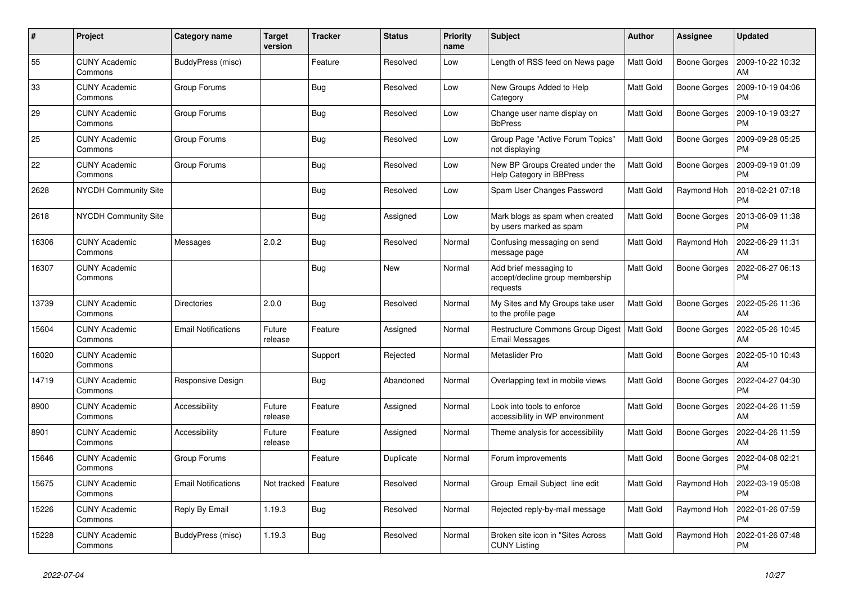| $\pmb{\sharp}$ | Project                         | Category name              | <b>Target</b><br>version | <b>Tracker</b> | <b>Status</b> | <b>Priority</b><br>name | <b>Subject</b>                                                        | <b>Author</b>    | Assignee            | <b>Updated</b>                |
|----------------|---------------------------------|----------------------------|--------------------------|----------------|---------------|-------------------------|-----------------------------------------------------------------------|------------------|---------------------|-------------------------------|
| 55             | <b>CUNY Academic</b><br>Commons | BuddyPress (misc)          |                          | Feature        | Resolved      | Low                     | Length of RSS feed on News page                                       | <b>Matt Gold</b> | Boone Gorges        | 2009-10-22 10:32<br>AM        |
| 33             | <b>CUNY Academic</b><br>Commons | Group Forums               |                          | <b>Bug</b>     | Resolved      | Low                     | New Groups Added to Help<br>Category                                  | Matt Gold        | <b>Boone Gorges</b> | 2009-10-19 04:06<br><b>PM</b> |
| 29             | <b>CUNY Academic</b><br>Commons | Group Forums               |                          | Bug            | Resolved      | Low                     | Change user name display on<br><b>BbPress</b>                         | Matt Gold        | Boone Gorges        | 2009-10-19 03:27<br><b>PM</b> |
| 25             | <b>CUNY Academic</b><br>Commons | Group Forums               |                          | <b>Bug</b>     | Resolved      | Low                     | Group Page "Active Forum Topics"<br>not displaying                    | <b>Matt Gold</b> | <b>Boone Gorges</b> | 2009-09-28 05:25<br><b>PM</b> |
| 22             | <b>CUNY Academic</b><br>Commons | Group Forums               |                          | Bug            | Resolved      | Low                     | New BP Groups Created under the<br>Help Category in BBPress           | <b>Matt Gold</b> | <b>Boone Gorges</b> | 2009-09-19 01:09<br><b>PM</b> |
| 2628           | <b>NYCDH Community Site</b>     |                            |                          | Bug            | Resolved      | Low                     | Spam User Changes Password                                            | Matt Gold        | Raymond Hoh         | 2018-02-21 07:18<br><b>PM</b> |
| 2618           | <b>NYCDH Community Site</b>     |                            |                          | <b>Bug</b>     | Assigned      | Low                     | Mark blogs as spam when created<br>by users marked as spam            | Matt Gold        | <b>Boone Gorges</b> | 2013-06-09 11:38<br><b>PM</b> |
| 16306          | <b>CUNY Academic</b><br>Commons | Messages                   | 2.0.2                    | Bug            | Resolved      | Normal                  | Confusing messaging on send<br>message page                           | Matt Gold        | Raymond Hoh         | 2022-06-29 11:31<br>AM        |
| 16307          | <b>CUNY Academic</b><br>Commons |                            |                          | Bug            | New           | Normal                  | Add brief messaging to<br>accept/decline group membership<br>requests | Matt Gold        | <b>Boone Gorges</b> | 2022-06-27 06:13<br><b>PM</b> |
| 13739          | <b>CUNY Academic</b><br>Commons | <b>Directories</b>         | 2.0.0                    | Bug            | Resolved      | Normal                  | My Sites and My Groups take user<br>to the profile page               | <b>Matt Gold</b> | <b>Boone Gorges</b> | 2022-05-26 11:36<br>AM        |
| 15604          | <b>CUNY Academic</b><br>Commons | <b>Email Notifications</b> | Future<br>release        | Feature        | Assigned      | Normal                  | Restructure Commons Group Digest   Matt Gold<br><b>Email Messages</b> |                  | Boone Gorges        | 2022-05-26 10:45<br>AM        |
| 16020          | <b>CUNY Academic</b><br>Commons |                            |                          | Support        | Rejected      | Normal                  | Metaslider Pro                                                        | Matt Gold        | <b>Boone Gorges</b> | 2022-05-10 10:43<br>AM        |
| 14719          | <b>CUNY Academic</b><br>Commons | Responsive Design          |                          | Bug            | Abandoned     | Normal                  | Overlapping text in mobile views                                      | Matt Gold        | <b>Boone Gorges</b> | 2022-04-27 04:30<br><b>PM</b> |
| 8900           | <b>CUNY Academic</b><br>Commons | Accessibility              | Future<br>release        | Feature        | Assigned      | Normal                  | Look into tools to enforce<br>accessibility in WP environment         | Matt Gold        | <b>Boone Gorges</b> | 2022-04-26 11:59<br>AM        |
| 8901           | <b>CUNY Academic</b><br>Commons | Accessibility              | Future<br>release        | Feature        | Assigned      | Normal                  | Theme analysis for accessibility                                      | Matt Gold        | Boone Gorges        | 2022-04-26 11:59<br>AM        |
| 15646          | <b>CUNY Academic</b><br>Commons | Group Forums               |                          | Feature        | Duplicate     | Normal                  | Forum improvements                                                    | Matt Gold        | <b>Boone Gorges</b> | 2022-04-08 02:21<br><b>PM</b> |
| 15675          | <b>CUNY Academic</b><br>Commons | <b>Email Notifications</b> | Not tracked              | Feature        | Resolved      | Normal                  | Group Email Subject line edit                                         | Matt Gold        | Raymond Hoh         | 2022-03-19 05:08<br><b>PM</b> |
| 15226          | <b>CUNY Academic</b><br>Commons | Reply By Email             | 1.19.3                   | <b>Bug</b>     | Resolved      | Normal                  | Rejected reply-by-mail message                                        | <b>Matt Gold</b> | Raymond Hoh         | 2022-01-26 07:59<br><b>PM</b> |
| 15228          | <b>CUNY Academic</b><br>Commons | BuddyPress (misc)          | 1.19.3                   | Bug            | Resolved      | Normal                  | Broken site icon in "Sites Across<br><b>CUNY Listing</b>              | Matt Gold        | Raymond Hoh         | 2022-01-26 07:48<br><b>PM</b> |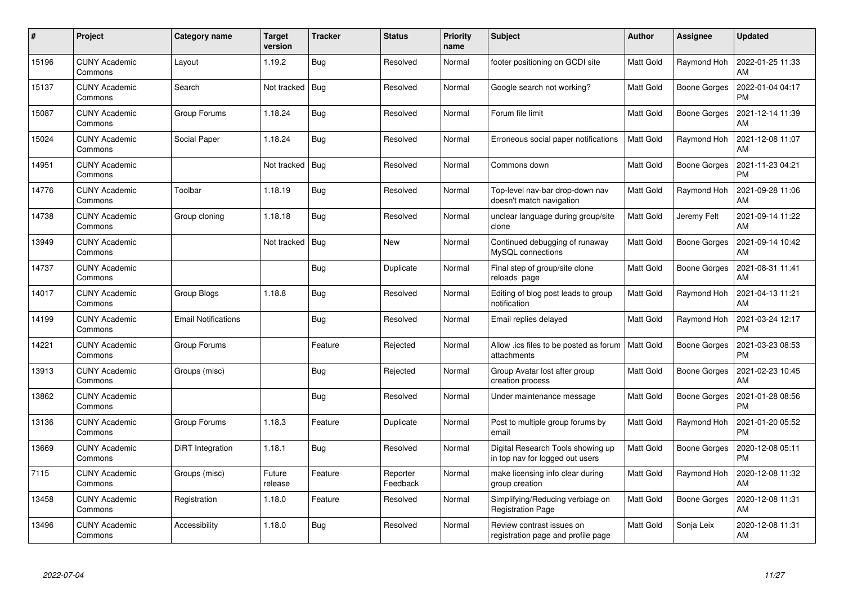| $\#$  | Project                         | Category name              | Target<br>version | <b>Tracker</b> | <b>Status</b>        | <b>Priority</b><br>name | Subject                                                              | Author           | <b>Assignee</b>     | <b>Updated</b>                |
|-------|---------------------------------|----------------------------|-------------------|----------------|----------------------|-------------------------|----------------------------------------------------------------------|------------------|---------------------|-------------------------------|
| 15196 | <b>CUNY Academic</b><br>Commons | Layout                     | 1.19.2            | <b>Bug</b>     | Resolved             | Normal                  | footer positioning on GCDI site                                      | <b>Matt Gold</b> | Raymond Hoh         | 2022-01-25 11:33<br>AM        |
| 15137 | <b>CUNY Academic</b><br>Commons | Search                     | Not tracked       | Bug            | Resolved             | Normal                  | Google search not working?                                           | <b>Matt Gold</b> | <b>Boone Gorges</b> | 2022-01-04 04:17<br><b>PM</b> |
| 15087 | <b>CUNY Academic</b><br>Commons | Group Forums               | 1.18.24           | Bug            | Resolved             | Normal                  | Forum file limit                                                     | Matt Gold        | Boone Gorges        | 2021-12-14 11:39<br>AM        |
| 15024 | <b>CUNY Academic</b><br>Commons | Social Paper               | 1.18.24           | Bug            | Resolved             | Normal                  | Erroneous social paper notifications                                 | <b>Matt Gold</b> | Raymond Hoh         | 2021-12-08 11:07<br>AM        |
| 14951 | <b>CUNY Academic</b><br>Commons |                            | Not tracked       | Bug            | Resolved             | Normal                  | Commons down                                                         | <b>Matt Gold</b> | <b>Boone Gorges</b> | 2021-11-23 04:21<br><b>PM</b> |
| 14776 | <b>CUNY Academic</b><br>Commons | Toolbar                    | 1.18.19           | Bug            | Resolved             | Normal                  | Top-level nav-bar drop-down nav<br>doesn't match navigation          | Matt Gold        | Raymond Hoh         | 2021-09-28 11:06<br>AM        |
| 14738 | <b>CUNY Academic</b><br>Commons | Group cloning              | 1.18.18           | <b>Bug</b>     | Resolved             | Normal                  | unclear language during group/site<br>clone                          | <b>Matt Gold</b> | Jeremy Felt         | 2021-09-14 11:22<br>AM        |
| 13949 | <b>CUNY Academic</b><br>Commons |                            | Not tracked       | Bug            | New                  | Normal                  | Continued debugging of runaway<br>MySQL connections                  | Matt Gold        | <b>Boone Gorges</b> | 2021-09-14 10:42<br>AM        |
| 14737 | <b>CUNY Academic</b><br>Commons |                            |                   | Bug            | Duplicate            | Normal                  | Final step of group/site clone<br>reloads page                       | <b>Matt Gold</b> | Boone Gorges        | 2021-08-31 11:41<br>AM        |
| 14017 | <b>CUNY Academic</b><br>Commons | Group Blogs                | 1.18.8            | Bug            | Resolved             | Normal                  | Editing of blog post leads to group<br>notification                  | <b>Matt Gold</b> | Raymond Hoh         | 2021-04-13 11:21<br>AM        |
| 14199 | <b>CUNY Academic</b><br>Commons | <b>Email Notifications</b> |                   | Bug            | Resolved             | Normal                  | Email replies delayed                                                | <b>Matt Gold</b> | Raymond Hoh         | 2021-03-24 12:17<br><b>PM</b> |
| 14221 | <b>CUNY Academic</b><br>Commons | Group Forums               |                   | Feature        | Rejected             | Normal                  | Allow .ics files to be posted as forum<br>attachments                | Matt Gold        | <b>Boone Gorges</b> | 2021-03-23 08:53<br><b>PM</b> |
| 13913 | <b>CUNY Academic</b><br>Commons | Groups (misc)              |                   | Bug            | Rejected             | Normal                  | Group Avatar lost after group<br>creation process                    | <b>Matt Gold</b> | <b>Boone Gorges</b> | 2021-02-23 10:45<br>AM        |
| 13862 | <b>CUNY Academic</b><br>Commons |                            |                   | <b>Bug</b>     | Resolved             | Normal                  | Under maintenance message                                            | Matt Gold        | <b>Boone Gorges</b> | 2021-01-28 08:56<br><b>PM</b> |
| 13136 | <b>CUNY Academic</b><br>Commons | Group Forums               | 1.18.3            | Feature        | Duplicate            | Normal                  | Post to multiple group forums by<br>email                            | Matt Gold        | Raymond Hoh         | 2021-01-20 05:52<br><b>PM</b> |
| 13669 | <b>CUNY Academic</b><br>Commons | DiRT Integration           | 1.18.1            | Bug            | Resolved             | Normal                  | Digital Research Tools showing up<br>in top nav for logged out users | Matt Gold        | Boone Gorges        | 2020-12-08 05:11<br><b>PM</b> |
| 7115  | <b>CUNY Academic</b><br>Commons | Groups (misc)              | Future<br>release | Feature        | Reporter<br>Feedback | Normal                  | make licensing info clear during<br>group creation                   | <b>Matt Gold</b> | Raymond Hoh         | 2020-12-08 11:32<br>AM        |
| 13458 | <b>CUNY Academic</b><br>Commons | Registration               | 1.18.0            | Feature        | Resolved             | Normal                  | Simplifying/Reducing verbiage on<br><b>Registration Page</b>         | Matt Gold        | <b>Boone Gorges</b> | 2020-12-08 11:31<br>AM        |
| 13496 | <b>CUNY Academic</b><br>Commons | Accessibility              | 1.18.0            | Bug            | Resolved             | Normal                  | Review contrast issues on<br>registration page and profile page      | Matt Gold        | Sonja Leix          | 2020-12-08 11:31<br>AM        |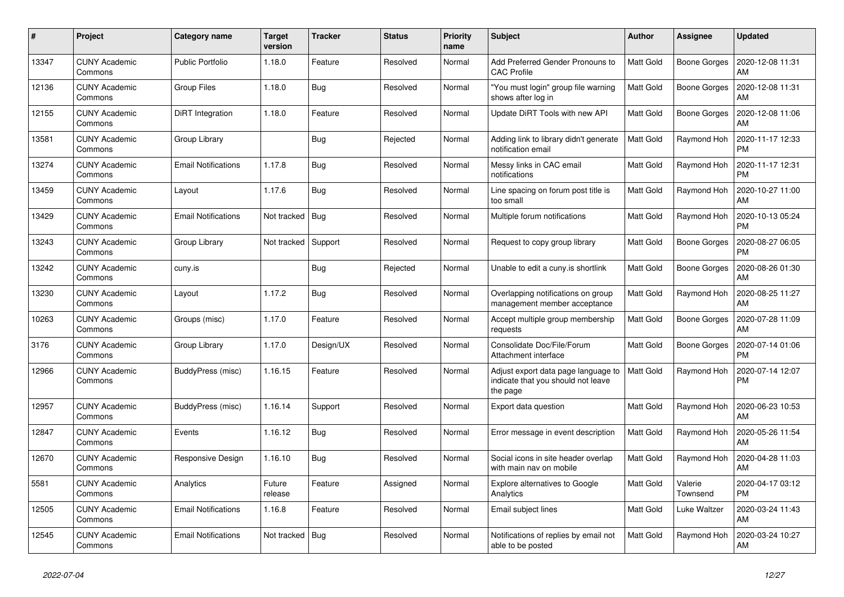| $\#$  | Project                         | Category name              | Target<br>version | <b>Tracker</b> | <b>Status</b> | Priority<br>name | <b>Subject</b>                                                                        | <b>Author</b>    | <b>Assignee</b>     | <b>Updated</b>                |
|-------|---------------------------------|----------------------------|-------------------|----------------|---------------|------------------|---------------------------------------------------------------------------------------|------------------|---------------------|-------------------------------|
| 13347 | <b>CUNY Academic</b><br>Commons | <b>Public Portfolio</b>    | 1.18.0            | Feature        | Resolved      | Normal           | Add Preferred Gender Pronouns to<br><b>CAC Profile</b>                                | <b>Matt Gold</b> | Boone Gorges        | 2020-12-08 11:31<br>AM        |
| 12136 | <b>CUNY Academic</b><br>Commons | Group Files                | 1.18.0            | Bug            | Resolved      | Normal           | 'You must login" group file warning<br>shows after log in                             | <b>Matt Gold</b> | Boone Gorges        | 2020-12-08 11:31<br>AM        |
| 12155 | <b>CUNY Academic</b><br>Commons | DiRT Integration           | 1.18.0            | Feature        | Resolved      | Normal           | Update DiRT Tools with new API                                                        | Matt Gold        | <b>Boone Gorges</b> | 2020-12-08 11:06<br>AM        |
| 13581 | <b>CUNY Academic</b><br>Commons | Group Library              |                   | Bug            | Rejected      | Normal           | Adding link to library didn't generate<br>notification email                          | <b>Matt Gold</b> | Raymond Hoh         | 2020-11-17 12:33<br><b>PM</b> |
| 13274 | <b>CUNY Academic</b><br>Commons | <b>Email Notifications</b> | 1.17.8            | Bug            | Resolved      | Normal           | Messy links in CAC email<br>notifications                                             | Matt Gold        | Raymond Hoh         | 2020-11-17 12:31<br><b>PM</b> |
| 13459 | <b>CUNY Academic</b><br>Commons | Layout                     | 1.17.6            | Bug            | Resolved      | Normal           | Line spacing on forum post title is<br>too small                                      | <b>Matt Gold</b> | Raymond Hoh         | 2020-10-27 11:00<br>AM        |
| 13429 | <b>CUNY Academic</b><br>Commons | <b>Email Notifications</b> | Not tracked       | Bug            | Resolved      | Normal           | Multiple forum notifications                                                          | Matt Gold        | Raymond Hoh         | 2020-10-13 05:24<br><b>PM</b> |
| 13243 | <b>CUNY Academic</b><br>Commons | Group Library              | Not tracked       | Support        | Resolved      | Normal           | Request to copy group library                                                         | Matt Gold        | Boone Gorges        | 2020-08-27 06:05<br><b>PM</b> |
| 13242 | <b>CUNY Academic</b><br>Commons | cuny.is                    |                   | Bug            | Rejected      | Normal           | Unable to edit a cuny.is shortlink                                                    | <b>Matt Gold</b> | Boone Gorges        | 2020-08-26 01:30<br>AM        |
| 13230 | <b>CUNY Academic</b><br>Commons | Layout                     | 1.17.2            | Bug            | Resolved      | Normal           | Overlapping notifications on group<br>management member acceptance                    | Matt Gold        | Raymond Hoh         | 2020-08-25 11:27<br>AM        |
| 10263 | <b>CUNY Academic</b><br>Commons | Groups (misc)              | 1.17.0            | Feature        | Resolved      | Normal           | Accept multiple group membership<br>requests                                          | Matt Gold        | <b>Boone Gorges</b> | 2020-07-28 11:09<br>AM        |
| 3176  | <b>CUNY Academic</b><br>Commons | Group Library              | 1.17.0            | Design/UX      | Resolved      | Normal           | Consolidate Doc/File/Forum<br>Attachment interface                                    | <b>Matt Gold</b> | <b>Boone Gorges</b> | 2020-07-14 01:06<br><b>PM</b> |
| 12966 | <b>CUNY Academic</b><br>Commons | BuddyPress (misc)          | 1.16.15           | Feature        | Resolved      | Normal           | Adjust export data page language to<br>indicate that you should not leave<br>the page | Matt Gold        | Raymond Hoh         | 2020-07-14 12:07<br><b>PM</b> |
| 12957 | <b>CUNY Academic</b><br>Commons | BuddyPress (misc)          | 1.16.14           | Support        | Resolved      | Normal           | Export data question                                                                  | Matt Gold        | Raymond Hoh         | 2020-06-23 10:53<br>AM        |
| 12847 | <b>CUNY Academic</b><br>Commons | Events                     | 1.16.12           | <b>Bug</b>     | Resolved      | Normal           | Error message in event description                                                    | <b>Matt Gold</b> | Raymond Hoh         | 2020-05-26 11:54<br>AM        |
| 12670 | <b>CUNY Academic</b><br>Commons | Responsive Design          | 1.16.10           | <b>Bug</b>     | Resolved      | Normal           | Social icons in site header overlap<br>with main nav on mobile                        | Matt Gold        | Raymond Hoh         | 2020-04-28 11:03<br>AM        |
| 5581  | <b>CUNY Academic</b><br>Commons | Analytics                  | Future<br>release | Feature        | Assigned      | Normal           | Explore alternatives to Google<br>Analytics                                           | <b>Matt Gold</b> | Valerie<br>Townsend | 2020-04-17 03:12<br><b>PM</b> |
| 12505 | <b>CUNY Academic</b><br>Commons | <b>Email Notifications</b> | 1.16.8            | Feature        | Resolved      | Normal           | Email subject lines                                                                   | <b>Matt Gold</b> | Luke Waltzer        | 2020-03-24 11:43<br>AM        |
| 12545 | <b>CUNY Academic</b><br>Commons | <b>Email Notifications</b> | Not tracked   Bug |                | Resolved      | Normal           | Notifications of replies by email not<br>able to be posted                            | Matt Gold        | Raymond Hoh         | 2020-03-24 10:27<br>AM        |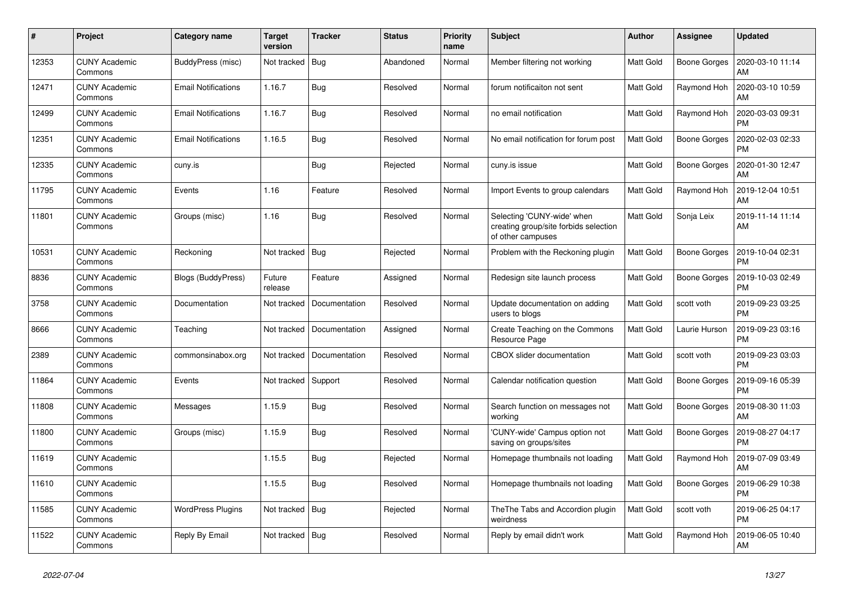| $\pmb{\sharp}$ | Project                         | Category name              | <b>Target</b><br>version | <b>Tracker</b> | <b>Status</b> | Priority<br>name | <b>Subject</b>                                                                           | <b>Author</b>    | Assignee            | <b>Updated</b>                |
|----------------|---------------------------------|----------------------------|--------------------------|----------------|---------------|------------------|------------------------------------------------------------------------------------------|------------------|---------------------|-------------------------------|
| 12353          | <b>CUNY Academic</b><br>Commons | BuddyPress (misc)          | Not tracked              | Bug            | Abandoned     | Normal           | Member filtering not working                                                             | Matt Gold        | <b>Boone Gorges</b> | 2020-03-10 11:14<br>AM        |
| 12471          | <b>CUNY Academic</b><br>Commons | <b>Email Notifications</b> | 1.16.7                   | Bug            | Resolved      | Normal           | forum notificaiton not sent                                                              | Matt Gold        | Raymond Hoh         | 2020-03-10 10:59<br>AM        |
| 12499          | <b>CUNY Academic</b><br>Commons | <b>Email Notifications</b> | 1.16.7                   | Bug            | Resolved      | Normal           | no email notification                                                                    | Matt Gold        | Raymond Hoh         | 2020-03-03 09:31<br><b>PM</b> |
| 12351          | <b>CUNY Academic</b><br>Commons | <b>Email Notifications</b> | 1.16.5                   | Bug            | Resolved      | Normal           | No email notification for forum post                                                     | Matt Gold        | <b>Boone Gorges</b> | 2020-02-03 02:33<br><b>PM</b> |
| 12335          | <b>CUNY Academic</b><br>Commons | cuny.is                    |                          | Bug            | Rejected      | Normal           | cuny.is issue                                                                            | Matt Gold        | <b>Boone Gorges</b> | 2020-01-30 12:47<br>AM        |
| 11795          | <b>CUNY Academic</b><br>Commons | Events                     | 1.16                     | Feature        | Resolved      | Normal           | Import Events to group calendars                                                         | Matt Gold        | Raymond Hoh         | 2019-12-04 10:51<br>AM        |
| 11801          | <b>CUNY Academic</b><br>Commons | Groups (misc)              | 1.16                     | Bug            | Resolved      | Normal           | Selecting 'CUNY-wide' when<br>creating group/site forbids selection<br>of other campuses | Matt Gold        | Sonja Leix          | 2019-11-14 11:14<br>AM        |
| 10531          | <b>CUNY Academic</b><br>Commons | Reckoning                  | Not tracked              | Bug            | Rejected      | Normal           | Problem with the Reckoning plugin                                                        | <b>Matt Gold</b> | <b>Boone Gorges</b> | 2019-10-04 02:31<br><b>PM</b> |
| 8836           | <b>CUNY Academic</b><br>Commons | Blogs (BuddyPress)         | Future<br>release        | Feature        | Assigned      | Normal           | Redesign site launch process                                                             | Matt Gold        | Boone Gorges        | 2019-10-03 02:49<br><b>PM</b> |
| 3758           | <b>CUNY Academic</b><br>Commons | Documentation              | Not tracked              | Documentation  | Resolved      | Normal           | Update documentation on adding<br>users to blogs                                         | Matt Gold        | scott voth          | 2019-09-23 03:25<br><b>PM</b> |
| 8666           | <b>CUNY Academic</b><br>Commons | Teaching                   | Not tracked              | Documentation  | Assigned      | Normal           | Create Teaching on the Commons<br>Resource Page                                          | Matt Gold        | Laurie Hurson       | 2019-09-23 03:16<br><b>PM</b> |
| 2389           | <b>CUNY Academic</b><br>Commons | commonsinabox.org          | Not tracked              | Documentation  | Resolved      | Normal           | CBOX slider documentation                                                                | Matt Gold        | scott voth          | 2019-09-23 03:03<br><b>PM</b> |
| 11864          | <b>CUNY Academic</b><br>Commons | Events                     | Not tracked              | Support        | Resolved      | Normal           | Calendar notification question                                                           | Matt Gold        | <b>Boone Gorges</b> | 2019-09-16 05:39<br><b>PM</b> |
| 11808          | <b>CUNY Academic</b><br>Commons | Messages                   | 1.15.9                   | Bug            | Resolved      | Normal           | Search function on messages not<br>working                                               | <b>Matt Gold</b> | <b>Boone Gorges</b> | 2019-08-30 11:03<br>AM        |
| 11800          | <b>CUNY Academic</b><br>Commons | Groups (misc)              | 1.15.9                   | <b>Bug</b>     | Resolved      | Normal           | 'CUNY-wide' Campus option not<br>saving on groups/sites                                  | <b>Matt Gold</b> | Boone Gorges        | 2019-08-27 04:17<br><b>PM</b> |
| 11619          | <b>CUNY Academic</b><br>Commons |                            | 1.15.5                   | <b>Bug</b>     | Rejected      | Normal           | Homepage thumbnails not loading                                                          | Matt Gold        | Raymond Hoh         | 2019-07-09 03:49<br>AM        |
| 11610          | <b>CUNY Academic</b><br>Commons |                            | 1.15.5                   | Bug            | Resolved      | Normal           | Homepage thumbnails not loading                                                          | <b>Matt Gold</b> | Boone Gorges        | 2019-06-29 10:38<br><b>PM</b> |
| 11585          | <b>CUNY Academic</b><br>Commons | <b>WordPress Plugins</b>   | Not tracked              | Bug            | Rejected      | Normal           | The The Tabs and Accordion plugin<br>weirdness                                           | Matt Gold        | scott voth          | 2019-06-25 04:17<br><b>PM</b> |
| 11522          | <b>CUNY Academic</b><br>Commons | Reply By Email             | Not tracked   Bug        |                | Resolved      | Normal           | Reply by email didn't work                                                               | Matt Gold        | Raymond Hoh         | 2019-06-05 10:40<br>AM        |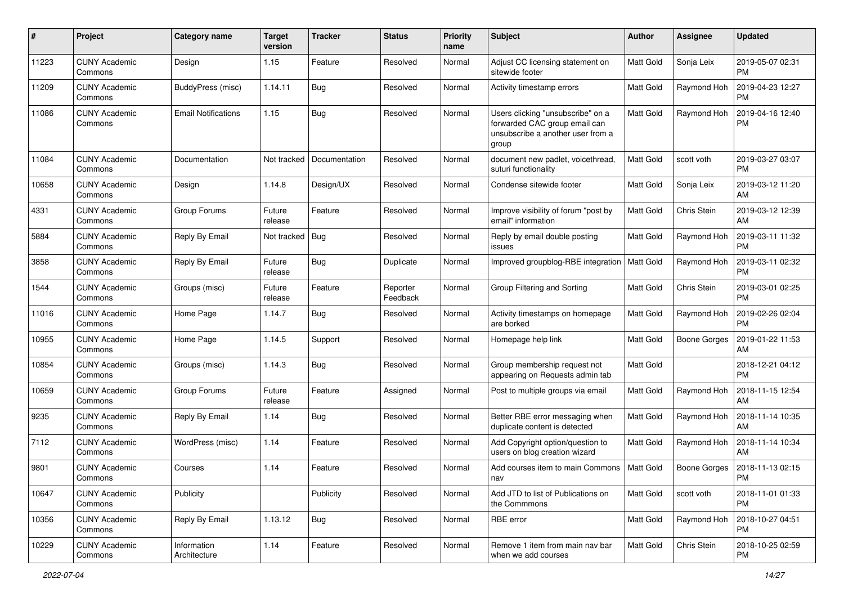| $\#$  | Project                         | <b>Category name</b>        | <b>Target</b><br>version | <b>Tracker</b> | <b>Status</b>        | <b>Priority</b><br>name | <b>Subject</b>                                                                                                   | Author           | <b>Assignee</b>     | <b>Updated</b>                |
|-------|---------------------------------|-----------------------------|--------------------------|----------------|----------------------|-------------------------|------------------------------------------------------------------------------------------------------------------|------------------|---------------------|-------------------------------|
| 11223 | <b>CUNY Academic</b><br>Commons | Design                      | 1.15                     | Feature        | Resolved             | Normal                  | Adjust CC licensing statement on<br>sitewide footer                                                              | <b>Matt Gold</b> | Sonja Leix          | 2019-05-07 02:31<br><b>PM</b> |
| 11209 | <b>CUNY Academic</b><br>Commons | BuddyPress (misc)           | 1.14.11                  | Bug            | Resolved             | Normal                  | Activity timestamp errors                                                                                        | <b>Matt Gold</b> | Raymond Hoh         | 2019-04-23 12:27<br><b>PM</b> |
| 11086 | CUNY Academic<br>Commons        | <b>Email Notifications</b>  | 1.15                     | Bug            | Resolved             | Normal                  | Users clicking "unsubscribe" on a<br>forwarded CAC group email can<br>unsubscribe a another user from a<br>group | <b>Matt Gold</b> | Raymond Hoh         | 2019-04-16 12:40<br><b>PM</b> |
| 11084 | <b>CUNY Academic</b><br>Commons | Documentation               | Not tracked              | Documentation  | Resolved             | Normal                  | document new padlet, voicethread,<br>suturi functionality                                                        | <b>Matt Gold</b> | scott voth          | 2019-03-27 03:07<br><b>PM</b> |
| 10658 | <b>CUNY Academic</b><br>Commons | Design                      | 1.14.8                   | Design/UX      | Resolved             | Normal                  | Condense sitewide footer                                                                                         | Matt Gold        | Sonja Leix          | 2019-03-12 11:20<br>AM        |
| 4331  | <b>CUNY Academic</b><br>Commons | Group Forums                | Future<br>release        | Feature        | Resolved             | Normal                  | Improve visibility of forum "post by<br>email" information                                                       | <b>Matt Gold</b> | Chris Stein         | 2019-03-12 12:39<br>AM        |
| 5884  | CUNY Academic<br>Commons        | Reply By Email              | Not tracked              | Bug            | Resolved             | Normal                  | Reply by email double posting<br>issues                                                                          | <b>Matt Gold</b> | Raymond Hoh         | 2019-03-11 11:32<br><b>PM</b> |
| 3858  | <b>CUNY Academic</b><br>Commons | Reply By Email              | Future<br>release        | Bug            | Duplicate            | Normal                  | Improved groupblog-RBE integration                                                                               | <b>Matt Gold</b> | Raymond Hoh         | 2019-03-11 02:32<br><b>PM</b> |
| 1544  | <b>CUNY Academic</b><br>Commons | Groups (misc)               | Future<br>release        | Feature        | Reporter<br>Feedback | Normal                  | Group Filtering and Sorting                                                                                      | <b>Matt Gold</b> | Chris Stein         | 2019-03-01 02:25<br><b>PM</b> |
| 11016 | <b>CUNY Academic</b><br>Commons | Home Page                   | 1.14.7                   | Bug            | Resolved             | Normal                  | Activity timestamps on homepage<br>are borked                                                                    | <b>Matt Gold</b> | Raymond Hoh         | 2019-02-26 02:04<br><b>PM</b> |
| 10955 | CUNY Academic<br>Commons        | Home Page                   | 1.14.5                   | Support        | Resolved             | Normal                  | Homepage help link                                                                                               | <b>Matt Gold</b> | <b>Boone Gorges</b> | 2019-01-22 11:53<br>AM        |
| 10854 | <b>CUNY Academic</b><br>Commons | Groups (misc)               | 1.14.3                   | Bug            | Resolved             | Normal                  | Group membership request not<br>appearing on Requests admin tab                                                  | Matt Gold        |                     | 2018-12-21 04:12<br>PM        |
| 10659 | <b>CUNY Academic</b><br>Commons | Group Forums                | Future<br>release        | Feature        | Assigned             | Normal                  | Post to multiple groups via email                                                                                | Matt Gold        | Raymond Hoh         | 2018-11-15 12:54<br>AM        |
| 9235  | <b>CUNY Academic</b><br>Commons | Reply By Email              | 1.14                     | Bug            | Resolved             | Normal                  | Better RBE error messaging when<br>duplicate content is detected                                                 | <b>Matt Gold</b> | Raymond Hoh         | 2018-11-14 10:35<br>AM        |
| 7112  | <b>CUNY Academic</b><br>Commons | WordPress (misc)            | 1.14                     | Feature        | Resolved             | Normal                  | Add Copyright option/question to<br>users on blog creation wizard                                                | <b>Matt Gold</b> | Raymond Hoh         | 2018-11-14 10:34<br>AM        |
| 9801  | <b>CUNY Academic</b><br>Commons | Courses                     | 1.14                     | Feature        | Resolved             | Normal                  | Add courses item to main Commons<br>nav                                                                          | Matt Gold        | Boone Gorges        | 2018-11-13 02:15<br>PM        |
| 10647 | <b>CUNY Academic</b><br>Commons | Publicity                   |                          | Publicity      | Resolved             | Normal                  | Add JTD to list of Publications on<br>the Commmons                                                               | Matt Gold        | scott voth          | 2018-11-01 01:33<br><b>PM</b> |
| 10356 | <b>CUNY Academic</b><br>Commons | Reply By Email              | 1.13.12                  | Bug            | Resolved             | Normal                  | RBE error                                                                                                        | Matt Gold        | Raymond Hoh         | 2018-10-27 04:51<br><b>PM</b> |
| 10229 | <b>CUNY Academic</b><br>Commons | Information<br>Architecture | 1.14                     | Feature        | Resolved             | Normal                  | Remove 1 item from main nav bar<br>when we add courses                                                           | Matt Gold        | Chris Stein         | 2018-10-25 02:59<br>PM.       |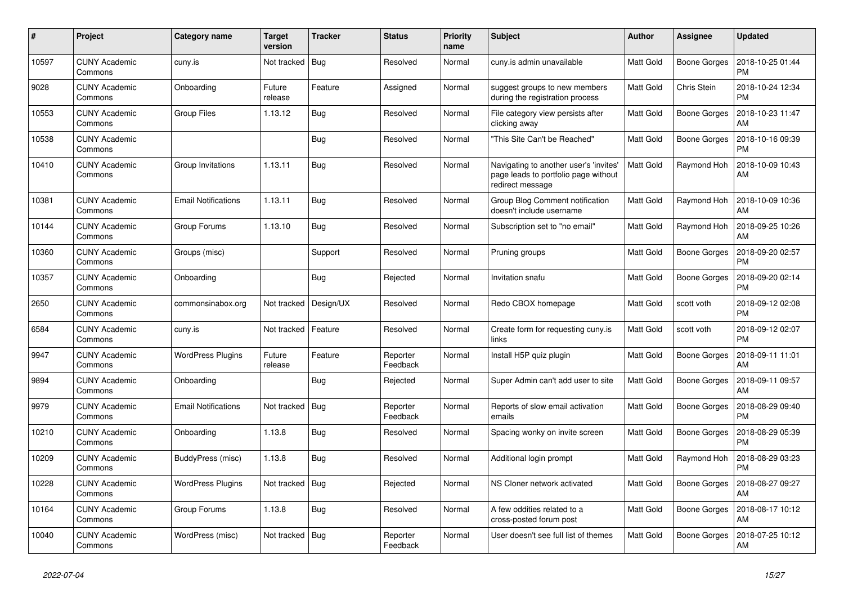| $\pmb{\sharp}$ | Project                         | Category name              | <b>Target</b><br>version | <b>Tracker</b> | <b>Status</b>        | Priority<br>name | <b>Subject</b>                                                                                     | <b>Author</b>    | Assignee            | <b>Updated</b>                |
|----------------|---------------------------------|----------------------------|--------------------------|----------------|----------------------|------------------|----------------------------------------------------------------------------------------------------|------------------|---------------------|-------------------------------|
| 10597          | <b>CUNY Academic</b><br>Commons | cuny.is                    | Not tracked              | Bug            | Resolved             | Normal           | cuny.is admin unavailable                                                                          | Matt Gold        | <b>Boone Gorges</b> | 2018-10-25 01:44<br><b>PM</b> |
| 9028           | <b>CUNY Academic</b><br>Commons | Onboarding                 | Future<br>release        | Feature        | Assigned             | Normal           | suggest groups to new members<br>during the registration process                                   | Matt Gold        | Chris Stein         | 2018-10-24 12:34<br><b>PM</b> |
| 10553          | <b>CUNY Academic</b><br>Commons | Group Files                | 1.13.12                  | Bug            | Resolved             | Normal           | File category view persists after<br>clicking away                                                 | Matt Gold        | <b>Boone Gorges</b> | 2018-10-23 11:47<br>AM        |
| 10538          | <b>CUNY Academic</b><br>Commons |                            |                          | Bug            | Resolved             | Normal           | 'This Site Can't be Reached"                                                                       | Matt Gold        | <b>Boone Gorges</b> | 2018-10-16 09:39<br><b>PM</b> |
| 10410          | <b>CUNY Academic</b><br>Commons | Group Invitations          | 1.13.11                  | Bug            | Resolved             | Normal           | Navigating to another user's 'invites'<br>page leads to portfolio page without<br>redirect message | Matt Gold        | Raymond Hoh         | 2018-10-09 10:43<br>AM        |
| 10381          | <b>CUNY Academic</b><br>Commons | <b>Email Notifications</b> | 1.13.11                  | Bug            | Resolved             | Normal           | Group Blog Comment notification<br>doesn't include username                                        | Matt Gold        | Raymond Hoh         | 2018-10-09 10:36<br>AM        |
| 10144          | <b>CUNY Academic</b><br>Commons | Group Forums               | 1.13.10                  | Bug            | Resolved             | Normal           | Subscription set to "no email"                                                                     | Matt Gold        | Raymond Hoh         | 2018-09-25 10:26<br>AM        |
| 10360          | <b>CUNY Academic</b><br>Commons | Groups (misc)              |                          | Support        | Resolved             | Normal           | Pruning groups                                                                                     | Matt Gold        | <b>Boone Gorges</b> | 2018-09-20 02:57<br><b>PM</b> |
| 10357          | <b>CUNY Academic</b><br>Commons | Onboarding                 |                          | <b>Bug</b>     | Rejected             | Normal           | Invitation snafu                                                                                   | Matt Gold        | Boone Gorges        | 2018-09-20 02:14<br><b>PM</b> |
| 2650           | <b>CUNY Academic</b><br>Commons | commonsinabox.org          | Not tracked              | Design/UX      | Resolved             | Normal           | Redo CBOX homepage                                                                                 | Matt Gold        | scott voth          | 2018-09-12 02:08<br><b>PM</b> |
| 6584           | <b>CUNY Academic</b><br>Commons | cuny.is                    | Not tracked              | Feature        | Resolved             | Normal           | Create form for requesting cuny.is<br>links                                                        | Matt Gold        | scott voth          | 2018-09-12 02:07<br><b>PM</b> |
| 9947           | <b>CUNY Academic</b><br>Commons | <b>WordPress Plugins</b>   | Future<br>release        | Feature        | Reporter<br>Feedback | Normal           | Install H5P quiz plugin                                                                            | Matt Gold        | Boone Gorges        | 2018-09-11 11:01<br>AM        |
| 9894           | <b>CUNY Academic</b><br>Commons | Onboarding                 |                          | <b>Bug</b>     | Rejected             | Normal           | Super Admin can't add user to site                                                                 | <b>Matt Gold</b> | <b>Boone Gorges</b> | 2018-09-11 09:57<br>AM        |
| 9979           | <b>CUNY Academic</b><br>Commons | <b>Email Notifications</b> | Not tracked              | Bug            | Reporter<br>Feedback | Normal           | Reports of slow email activation<br>emails                                                         | <b>Matt Gold</b> | Boone Gorges        | 2018-08-29 09:40<br><b>PM</b> |
| 10210          | <b>CUNY Academic</b><br>Commons | Onboarding                 | 1.13.8                   | <b>Bug</b>     | Resolved             | Normal           | Spacing wonky on invite screen                                                                     | Matt Gold        | <b>Boone Gorges</b> | 2018-08-29 05:39<br><b>PM</b> |
| 10209          | <b>CUNY Academic</b><br>Commons | BuddyPress (misc)          | 1.13.8                   | Bug            | Resolved             | Normal           | Additional login prompt                                                                            | Matt Gold        | Raymond Hoh         | 2018-08-29 03:23<br><b>PM</b> |
| 10228          | <b>CUNY Academic</b><br>Commons | <b>WordPress Plugins</b>   | Not tracked   Bug        |                | Rejected             | Normal           | NS Cloner network activated                                                                        | <b>Matt Gold</b> | Boone Gorges        | 2018-08-27 09:27<br>AM        |
| 10164          | <b>CUNY Academic</b><br>Commons | Group Forums               | 1.13.8                   | <b>Bug</b>     | Resolved             | Normal           | A few oddities related to a<br>cross-posted forum post                                             | Matt Gold        | <b>Boone Gorges</b> | 2018-08-17 10:12<br>AM        |
| 10040          | <b>CUNY Academic</b><br>Commons | WordPress (misc)           | Not tracked              | Bug            | Reporter<br>Feedback | Normal           | User doesn't see full list of themes                                                               | Matt Gold        | Boone Gorges        | 2018-07-25 10:12<br>AM        |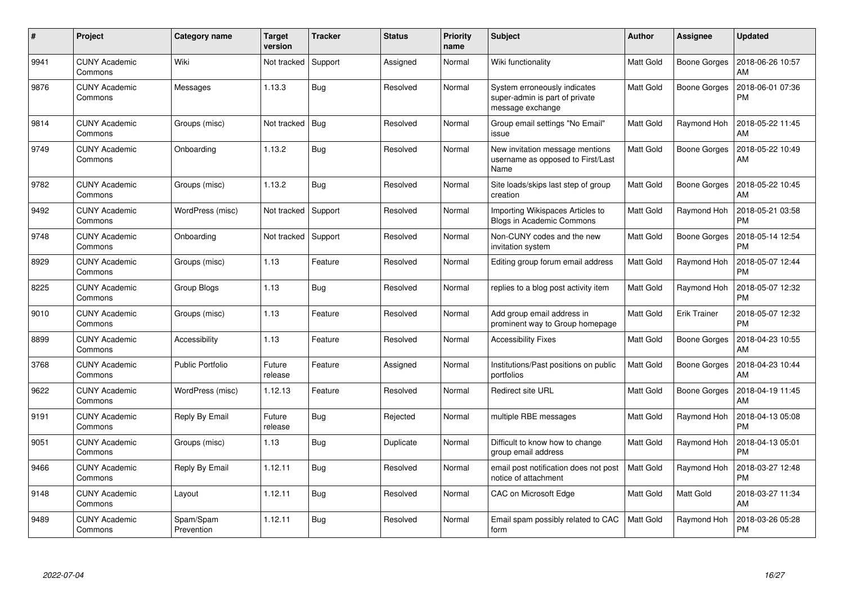| $\#$ | Project                         | <b>Category name</b>    | <b>Target</b><br>version | <b>Tracker</b> | <b>Status</b> | <b>Priority</b><br>name | <b>Subject</b>                                                                     | <b>Author</b>    | <b>Assignee</b>     | <b>Updated</b>                |
|------|---------------------------------|-------------------------|--------------------------|----------------|---------------|-------------------------|------------------------------------------------------------------------------------|------------------|---------------------|-------------------------------|
| 9941 | <b>CUNY Academic</b><br>Commons | Wiki                    | Not tracked              | Support        | Assigned      | Normal                  | Wiki functionality                                                                 | Matt Gold        | Boone Gorges        | 2018-06-26 10:57<br>AM        |
| 9876 | <b>CUNY Academic</b><br>Commons | Messages                | 1.13.3                   | Bug            | Resolved      | Normal                  | System erroneously indicates<br>super-admin is part of private<br>message exchange | <b>Matt Gold</b> | <b>Boone Gorges</b> | 2018-06-01 07:36<br><b>PM</b> |
| 9814 | <b>CUNY Academic</b><br>Commons | Groups (misc)           | Not tracked              | Bug            | Resolved      | Normal                  | Group email settings "No Email"<br>issue                                           | <b>Matt Gold</b> | Raymond Hoh         | 2018-05-22 11:45<br>AM        |
| 9749 | <b>CUNY Academic</b><br>Commons | Onboarding              | 1.13.2                   | Bug            | Resolved      | Normal                  | New invitation message mentions<br>username as opposed to First/Last<br>Name       | <b>Matt Gold</b> | Boone Gorges        | 2018-05-22 10:49<br>AM        |
| 9782 | <b>CUNY Academic</b><br>Commons | Groups (misc)           | 1.13.2                   | Bug            | Resolved      | Normal                  | Site loads/skips last step of group<br>creation                                    | Matt Gold        | <b>Boone Gorges</b> | 2018-05-22 10:45<br>AM        |
| 9492 | <b>CUNY Academic</b><br>Commons | WordPress (misc)        | Not tracked              | Support        | Resolved      | Normal                  | Importing Wikispaces Articles to<br><b>Blogs in Academic Commons</b>               | Matt Gold        | Raymond Hoh         | 2018-05-21 03:58<br><b>PM</b> |
| 9748 | <b>CUNY Academic</b><br>Commons | Onboarding              | Not tracked              | Support        | Resolved      | Normal                  | Non-CUNY codes and the new<br>invitation system                                    | <b>Matt Gold</b> | <b>Boone Gorges</b> | 2018-05-14 12:54<br><b>PM</b> |
| 8929 | <b>CUNY Academic</b><br>Commons | Groups (misc)           | 1.13                     | Feature        | Resolved      | Normal                  | Editing group forum email address                                                  | <b>Matt Gold</b> | Raymond Hoh         | 2018-05-07 12:44<br><b>PM</b> |
| 8225 | <b>CUNY Academic</b><br>Commons | Group Blogs             | 1.13                     | <b>Bug</b>     | Resolved      | Normal                  | replies to a blog post activity item                                               | <b>Matt Gold</b> | Raymond Hoh         | 2018-05-07 12:32<br><b>PM</b> |
| 9010 | <b>CUNY Academic</b><br>Commons | Groups (misc)           | 1.13                     | Feature        | Resolved      | Normal                  | Add group email address in<br>prominent way to Group homepage                      | Matt Gold        | <b>Erik Trainer</b> | 2018-05-07 12:32<br><b>PM</b> |
| 8899 | <b>CUNY Academic</b><br>Commons | Accessibility           | 1.13                     | Feature        | Resolved      | Normal                  | <b>Accessibility Fixes</b>                                                         | Matt Gold        | Boone Gorges        | 2018-04-23 10:55<br>AM        |
| 3768 | <b>CUNY Academic</b><br>Commons | <b>Public Portfolio</b> | Future<br>release        | Feature        | Assigned      | Normal                  | Institutions/Past positions on public<br>portfolios                                | Matt Gold        | <b>Boone Gorges</b> | 2018-04-23 10:44<br>AM        |
| 9622 | CUNY Academic<br>Commons        | WordPress (misc)        | 1.12.13                  | Feature        | Resolved      | Normal                  | <b>Redirect site URL</b>                                                           | Matt Gold        | Boone Gorges        | 2018-04-19 11:45<br>AM        |
| 9191 | <b>CUNY Academic</b><br>Commons | Reply By Email          | Future<br>release        | Bug            | Rejected      | Normal                  | multiple RBE messages                                                              | Matt Gold        | Raymond Hoh         | 2018-04-13 05:08<br><b>PM</b> |
| 9051 | <b>CUNY Academic</b><br>Commons | Groups (misc)           | 1.13                     | Bug            | Duplicate     | Normal                  | Difficult to know how to change<br>group email address                             | Matt Gold        | Raymond Hoh         | 2018-04-13 05:01<br><b>PM</b> |
| 9466 | <b>CUNY Academic</b><br>Commons | Reply By Email          | 1.12.11                  | Bug            | Resolved      | Normal                  | email post notification does not post<br>notice of attachment                      | <b>Matt Gold</b> | Raymond Hoh         | 2018-03-27 12:48<br><b>PM</b> |
| 9148 | <b>CUNY Academic</b><br>Commons | Layout                  | 1.12.11                  | <b>Bug</b>     | Resolved      | Normal                  | <b>CAC on Microsoft Edge</b>                                                       | Matt Gold        | Matt Gold           | 2018-03-27 11:34<br>AM        |
| 9489 | <b>CUNY Academic</b><br>Commons | Spam/Spam<br>Prevention | 1.12.11                  | Bug            | Resolved      | Normal                  | Email spam possibly related to CAC<br>form                                         | Matt Gold        | Raymond Hoh         | 2018-03-26 05:28<br>PM        |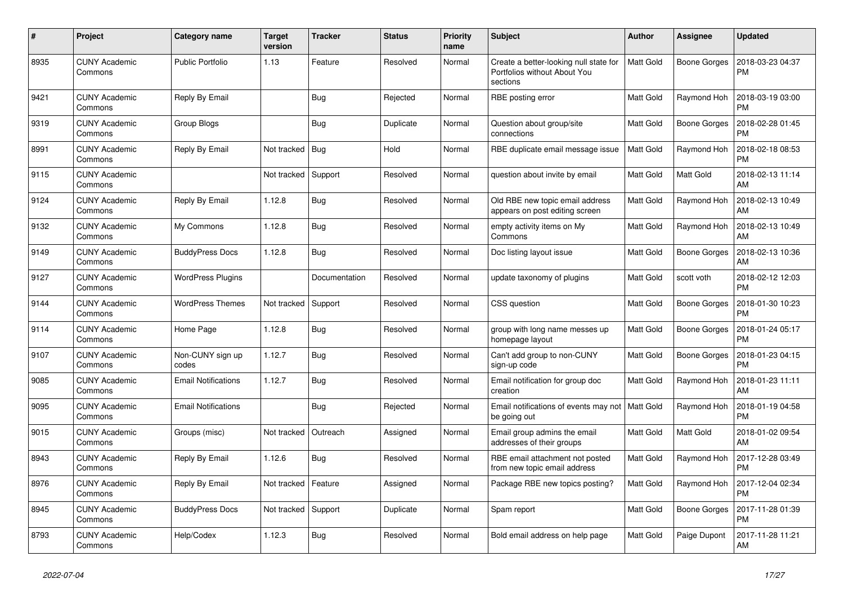| $\#$ | Project                         | Category name              | <b>Target</b><br>version | <b>Tracker</b> | <b>Status</b> | Priority<br>name | <b>Subject</b>                                                                     | <b>Author</b>    | Assignee            | <b>Updated</b>                |
|------|---------------------------------|----------------------------|--------------------------|----------------|---------------|------------------|------------------------------------------------------------------------------------|------------------|---------------------|-------------------------------|
| 8935 | <b>CUNY Academic</b><br>Commons | <b>Public Portfolio</b>    | 1.13                     | Feature        | Resolved      | Normal           | Create a better-looking null state for<br>Portfolios without About You<br>sections | <b>Matt Gold</b> | <b>Boone Gorges</b> | 2018-03-23 04:37<br><b>PM</b> |
| 9421 | <b>CUNY Academic</b><br>Commons | Reply By Email             |                          | Bug            | Rejected      | Normal           | RBE posting error                                                                  | Matt Gold        | Raymond Hoh         | 2018-03-19 03:00<br><b>PM</b> |
| 9319 | <b>CUNY Academic</b><br>Commons | Group Blogs                |                          | Bug            | Duplicate     | Normal           | Question about group/site<br>connections                                           | Matt Gold        | Boone Gorges        | 2018-02-28 01:45<br><b>PM</b> |
| 8991 | <b>CUNY Academic</b><br>Commons | Reply By Email             | Not tracked              | Bug            | Hold          | Normal           | RBE duplicate email message issue                                                  | <b>Matt Gold</b> | Raymond Hoh         | 2018-02-18 08:53<br><b>PM</b> |
| 9115 | <b>CUNY Academic</b><br>Commons |                            | Not tracked              | Support        | Resolved      | Normal           | question about invite by email                                                     | Matt Gold        | Matt Gold           | 2018-02-13 11:14<br>AM        |
| 9124 | <b>CUNY Academic</b><br>Commons | Reply By Email             | 1.12.8                   | <b>Bug</b>     | Resolved      | Normal           | Old RBE new topic email address<br>appears on post editing screen                  | Matt Gold        | Raymond Hoh         | 2018-02-13 10:49<br>AM        |
| 9132 | <b>CUNY Academic</b><br>Commons | My Commons                 | 1.12.8                   | Bug            | Resolved      | Normal           | empty activity items on My<br>Commons                                              | Matt Gold        | Raymond Hoh         | 2018-02-13 10:49<br>AM        |
| 9149 | <b>CUNY Academic</b><br>Commons | <b>BuddyPress Docs</b>     | 1.12.8                   | <b>Bug</b>     | Resolved      | Normal           | Doc listing layout issue                                                           | Matt Gold        | Boone Gorges        | 2018-02-13 10:36<br>AM        |
| 9127 | <b>CUNY Academic</b><br>Commons | <b>WordPress Plugins</b>   |                          | Documentation  | Resolved      | Normal           | update taxonomy of plugins                                                         | Matt Gold        | scott voth          | 2018-02-12 12:03<br><b>PM</b> |
| 9144 | <b>CUNY Academic</b><br>Commons | <b>WordPress Themes</b>    | Not tracked              | Support        | Resolved      | Normal           | CSS question                                                                       | Matt Gold        | <b>Boone Gorges</b> | 2018-01-30 10:23<br><b>PM</b> |
| 9114 | <b>CUNY Academic</b><br>Commons | Home Page                  | 1.12.8                   | Bug            | Resolved      | Normal           | group with long name messes up<br>homepage layout                                  | Matt Gold        | Boone Gorges        | 2018-01-24 05:17<br><b>PM</b> |
| 9107 | <b>CUNY Academic</b><br>Commons | Non-CUNY sign up<br>codes  | 1.12.7                   | <b>Bug</b>     | Resolved      | Normal           | Can't add group to non-CUNY<br>sign-up code                                        | Matt Gold        | Boone Gorges        | 2018-01-23 04:15<br><b>PM</b> |
| 9085 | <b>CUNY Academic</b><br>Commons | <b>Email Notifications</b> | 1.12.7                   | Bug            | Resolved      | Normal           | Email notification for group doc<br>creation                                       | Matt Gold        | Raymond Hoh         | 2018-01-23 11:11<br>AM        |
| 9095 | <b>CUNY Academic</b><br>Commons | <b>Email Notifications</b> |                          | Bug            | Rejected      | Normal           | Email notifications of events may not<br>be going out                              | <b>Matt Gold</b> | Raymond Hoh         | 2018-01-19 04:58<br><b>PM</b> |
| 9015 | <b>CUNY Academic</b><br>Commons | Groups (misc)              | Not tracked              | Outreach       | Assigned      | Normal           | Email group admins the email<br>addresses of their groups                          | Matt Gold        | Matt Gold           | 2018-01-02 09:54<br>AM        |
| 8943 | <b>CUNY Academic</b><br>Commons | Reply By Email             | 1.12.6                   | <b>Bug</b>     | Resolved      | Normal           | RBE email attachment not posted<br>from new topic email address                    | Matt Gold        | Raymond Hoh         | 2017-12-28 03:49<br><b>PM</b> |
| 8976 | <b>CUNY Academic</b><br>Commons | Reply By Email             | Not tracked              | Feature        | Assigned      | Normal           | Package RBE new topics posting?                                                    | Matt Gold        | Raymond Hoh         | 2017-12-04 02:34<br><b>PM</b> |
| 8945 | <b>CUNY Academic</b><br>Commons | <b>BuddyPress Docs</b>     | Not tracked              | Support        | Duplicate     | Normal           | Spam report                                                                        | Matt Gold        | <b>Boone Gorges</b> | 2017-11-28 01:39<br><b>PM</b> |
| 8793 | <b>CUNY Academic</b><br>Commons | Help/Codex                 | 1.12.3                   | Bug            | Resolved      | Normal           | Bold email address on help page                                                    | Matt Gold        | Paige Dupont        | 2017-11-28 11:21<br>AM        |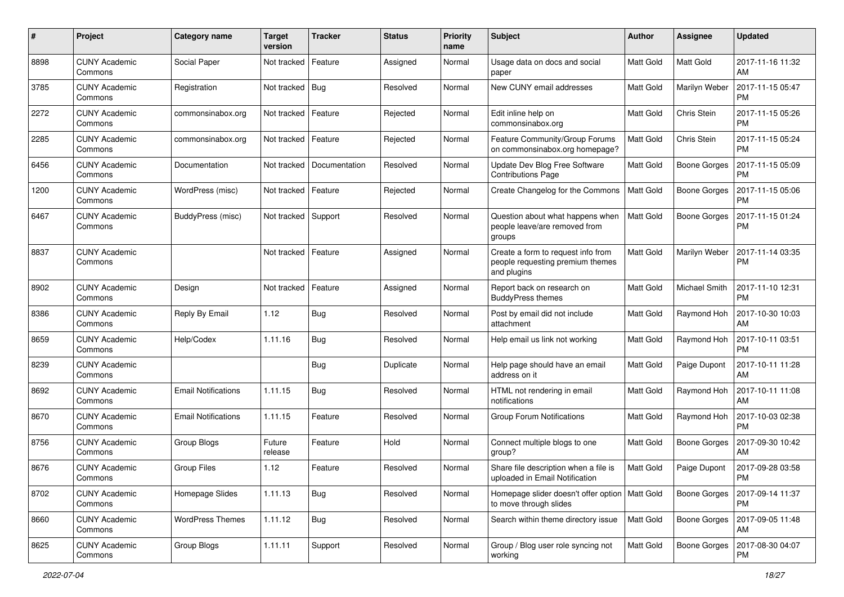| #    | Project                         | <b>Category name</b>       | <b>Target</b><br>version | <b>Tracker</b> | <b>Status</b> | <b>Priority</b><br>name | <b>Subject</b>                                                                        | <b>Author</b>    | <b>Assignee</b>     | <b>Updated</b>                |
|------|---------------------------------|----------------------------|--------------------------|----------------|---------------|-------------------------|---------------------------------------------------------------------------------------|------------------|---------------------|-------------------------------|
| 8898 | <b>CUNY Academic</b><br>Commons | Social Paper               | Not tracked              | Feature        | Assigned      | Normal                  | Usage data on docs and social<br>paper                                                | <b>Matt Gold</b> | Matt Gold           | 2017-11-16 11:32<br>AM        |
| 3785 | <b>CUNY Academic</b><br>Commons | Registration               | Not tracked   Bug        |                | Resolved      | Normal                  | New CUNY email addresses                                                              | <b>Matt Gold</b> | Marilyn Weber       | 2017-11-15 05:47<br><b>PM</b> |
| 2272 | CUNY Academic<br>Commons        | commonsinabox.org          | Not tracked              | Feature        | Rejected      | Normal                  | Edit inline help on<br>commonsinabox.org                                              | Matt Gold        | Chris Stein         | 2017-11-15 05:26<br><b>PM</b> |
| 2285 | <b>CUNY Academic</b><br>Commons | commonsinabox.org          | Not tracked              | Feature        | Rejected      | Normal                  | Feature Community/Group Forums<br>on commonsinabox.org homepage?                      | <b>Matt Gold</b> | Chris Stein         | 2017-11-15 05:24<br><b>PM</b> |
| 6456 | <b>CUNY Academic</b><br>Commons | Documentation              | Not tracked              | Documentation  | Resolved      | Normal                  | Update Dev Blog Free Software<br><b>Contributions Page</b>                            | Matt Gold        | <b>Boone Gorges</b> | 2017-11-15 05:09<br>PM        |
| 1200 | <b>CUNY Academic</b><br>Commons | WordPress (misc)           | Not tracked              | Feature        | Rejected      | Normal                  | Create Changelog for the Commons                                                      | Matt Gold        | <b>Boone Gorges</b> | 2017-11-15 05:06<br><b>PM</b> |
| 6467 | <b>CUNY Academic</b><br>Commons | BuddyPress (misc)          | Not tracked              | Support        | Resolved      | Normal                  | Question about what happens when<br>people leave/are removed from<br>groups           | <b>Matt Gold</b> | <b>Boone Gorges</b> | 2017-11-15 01:24<br><b>PM</b> |
| 8837 | <b>CUNY Academic</b><br>Commons |                            | Not tracked              | Feature        | Assigned      | Normal                  | Create a form to request info from<br>people requesting premium themes<br>and plugins | Matt Gold        | Marilyn Weber       | 2017-11-14 03:35<br><b>PM</b> |
| 8902 | <b>CUNY Academic</b><br>Commons | Design                     | Not tracked              | Feature        | Assigned      | Normal                  | Report back on research on<br><b>BuddyPress themes</b>                                | <b>Matt Gold</b> | Michael Smith       | 2017-11-10 12:31<br><b>PM</b> |
| 8386 | <b>CUNY Academic</b><br>Commons | Reply By Email             | 1.12                     | Bug            | Resolved      | Normal                  | Post by email did not include<br>attachment                                           | <b>Matt Gold</b> | Raymond Hoh         | 2017-10-30 10:03<br>AM        |
| 8659 | <b>CUNY Academic</b><br>Commons | Help/Codex                 | 1.11.16                  | Bug            | Resolved      | Normal                  | Help email us link not working                                                        | <b>Matt Gold</b> | Raymond Hoh         | 2017-10-11 03:51<br><b>PM</b> |
| 8239 | <b>CUNY Academic</b><br>Commons |                            |                          | <b>Bug</b>     | Duplicate     | Normal                  | Help page should have an email<br>address on it                                       | <b>Matt Gold</b> | Paige Dupont        | 2017-10-11 11:28<br>AM        |
| 8692 | <b>CUNY Academic</b><br>Commons | <b>Email Notifications</b> | 1.11.15                  | Bug            | Resolved      | Normal                  | HTML not rendering in email<br>notifications                                          | <b>Matt Gold</b> | Raymond Hoh         | 2017-10-11 11:08<br>AM        |
| 8670 | <b>CUNY Academic</b><br>Commons | <b>Email Notifications</b> | 1.11.15                  | Feature        | Resolved      | Normal                  | <b>Group Forum Notifications</b>                                                      | Matt Gold        | Raymond Hoh         | 2017-10-03 02:38<br><b>PM</b> |
| 8756 | <b>CUNY Academic</b><br>Commons | Group Blogs                | Future<br>release        | Feature        | Hold          | Normal                  | Connect multiple blogs to one<br>group?                                               | <b>Matt Gold</b> | <b>Boone Gorges</b> | 2017-09-30 10:42<br>AM        |
| 8676 | CUNY Academic<br>Commons        | Group Files                | 1.12                     | Feature        | Resolved      | Normal                  | Share file description when a file is<br>uploaded in Email Notification               | <b>Matt Gold</b> | Paige Dupont        | 2017-09-28 03:58<br><b>PM</b> |
| 8702 | <b>CUNY Academic</b><br>Commons | Homepage Slides            | 1.11.13                  | Bug            | Resolved      | Normal                  | Homepage slider doesn't offer option<br>to move through slides                        | Matt Gold        | <b>Boone Gorges</b> | 2017-09-14 11:37<br><b>PM</b> |
| 8660 | <b>CUNY Academic</b><br>Commons | <b>WordPress Themes</b>    | 1.11.12                  | Bug            | Resolved      | Normal                  | Search within theme directory issue                                                   | Matt Gold        | <b>Boone Gorges</b> | 2017-09-05 11:48<br>AM        |
| 8625 | <b>CUNY Academic</b><br>Commons | Group Blogs                | 1.11.11                  | Support        | Resolved      | Normal                  | Group / Blog user role syncing not<br>working                                         | Matt Gold        | <b>Boone Gorges</b> | 2017-08-30 04:07<br><b>PM</b> |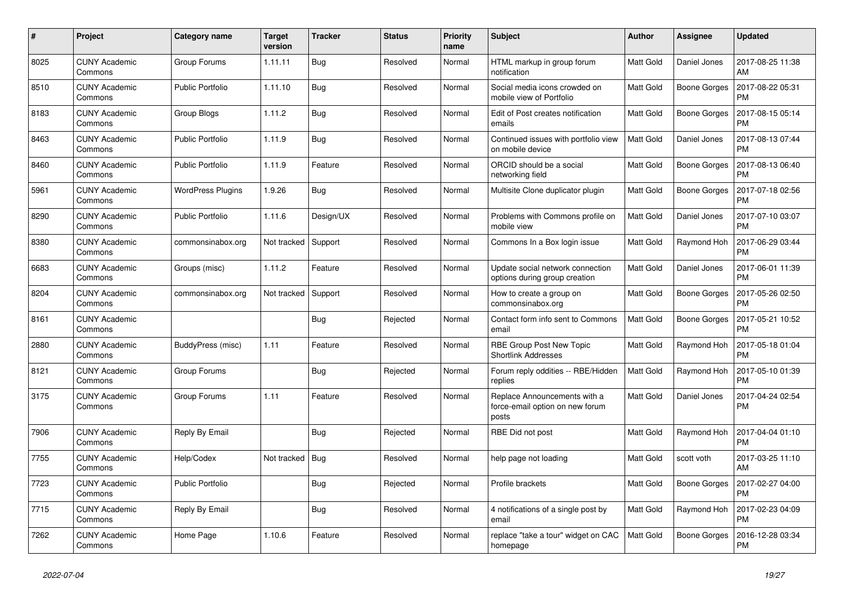| #    | Project                         | Category name            | Target<br>version | <b>Tracker</b> | <b>Status</b> | Priority<br>name | <b>Subject</b>                                                           | <b>Author</b>    | <b>Assignee</b>     | <b>Updated</b>                |
|------|---------------------------------|--------------------------|-------------------|----------------|---------------|------------------|--------------------------------------------------------------------------|------------------|---------------------|-------------------------------|
| 8025 | <b>CUNY Academic</b><br>Commons | Group Forums             | 1.11.11           | Bug            | Resolved      | Normal           | HTML markup in group forum<br>notification                               | <b>Matt Gold</b> | Daniel Jones        | 2017-08-25 11:38<br>AM        |
| 8510 | <b>CUNY Academic</b><br>Commons | <b>Public Portfolio</b>  | 1.11.10           | Bug            | Resolved      | Normal           | Social media icons crowded on<br>mobile view of Portfolio                | <b>Matt Gold</b> | Boone Gorges        | 2017-08-22 05:31<br><b>PM</b> |
| 8183 | <b>CUNY Academic</b><br>Commons | Group Blogs              | 1.11.2            | <b>Bug</b>     | Resolved      | Normal           | Edit of Post creates notification<br>emails                              | <b>Matt Gold</b> | <b>Boone Gorges</b> | 2017-08-15 05:14<br><b>PM</b> |
| 8463 | <b>CUNY Academic</b><br>Commons | <b>Public Portfolio</b>  | 1.11.9            | Bug            | Resolved      | Normal           | Continued issues with portfolio view<br>on mobile device                 | <b>Matt Gold</b> | Daniel Jones        | 2017-08-13 07:44<br><b>PM</b> |
| 8460 | <b>CUNY Academic</b><br>Commons | <b>Public Portfolio</b>  | 1.11.9            | Feature        | Resolved      | Normal           | ORCID should be a social<br>networking field                             | <b>Matt Gold</b> | <b>Boone Gorges</b> | 2017-08-13 06:40<br>PM        |
| 5961 | <b>CUNY Academic</b><br>Commons | <b>WordPress Plugins</b> | 1.9.26            | <b>Bug</b>     | Resolved      | Normal           | Multisite Clone duplicator plugin                                        | Matt Gold        | <b>Boone Gorges</b> | 2017-07-18 02:56<br><b>PM</b> |
| 8290 | <b>CUNY Academic</b><br>Commons | <b>Public Portfolio</b>  | 1.11.6            | Design/UX      | Resolved      | Normal           | Problems with Commons profile on<br>mobile view                          | Matt Gold        | Daniel Jones        | 2017-07-10 03:07<br><b>PM</b> |
| 8380 | <b>CUNY Academic</b><br>Commons | commonsinabox.org        | Not tracked       | Support        | Resolved      | Normal           | Commons In a Box login issue                                             | Matt Gold        | Raymond Hoh         | 2017-06-29 03:44<br><b>PM</b> |
| 6683 | <b>CUNY Academic</b><br>Commons | Groups (misc)            | 1.11.2            | Feature        | Resolved      | Normal           | Update social network connection<br>options during group creation        | Matt Gold        | Daniel Jones        | 2017-06-01 11:39<br><b>PM</b> |
| 8204 | <b>CUNY Academic</b><br>Commons | commonsinabox.org        | Not tracked       | Support        | Resolved      | Normal           | How to create a group on<br>commonsinabox.org                            | <b>Matt Gold</b> | Boone Gorges        | 2017-05-26 02:50<br><b>PM</b> |
| 8161 | <b>CUNY Academic</b><br>Commons |                          |                   | Bug            | Rejected      | Normal           | Contact form info sent to Commons<br>email                               | <b>Matt Gold</b> | <b>Boone Gorges</b> | 2017-05-21 10:52<br><b>PM</b> |
| 2880 | <b>CUNY Academic</b><br>Commons | BuddyPress (misc)        | 1.11              | Feature        | Resolved      | Normal           | RBE Group Post New Topic<br><b>Shortlink Addresses</b>                   | <b>Matt Gold</b> | Raymond Hoh         | 2017-05-18 01:04<br><b>PM</b> |
| 8121 | <b>CUNY Academic</b><br>Commons | Group Forums             |                   | <b>Bug</b>     | Rejected      | Normal           | Forum reply oddities -- RBE/Hidden<br>replies                            | Matt Gold        | Raymond Hoh         | 2017-05-10 01:39<br><b>PM</b> |
| 3175 | <b>CUNY Academic</b><br>Commons | Group Forums             | 1.11              | Feature        | Resolved      | Normal           | Replace Announcements with a<br>force-email option on new forum<br>posts | <b>Matt Gold</b> | Daniel Jones        | 2017-04-24 02:54<br><b>PM</b> |
| 7906 | <b>CUNY Academic</b><br>Commons | Reply By Email           |                   | <b>Bug</b>     | Rejected      | Normal           | RBE Did not post                                                         | <b>Matt Gold</b> | Raymond Hoh         | 2017-04-04 01:10<br><b>PM</b> |
| 7755 | <b>CUNY Academic</b><br>Commons | Help/Codex               | Not tracked       | Bug            | Resolved      | Normal           | help page not loading                                                    | Matt Gold        | scott voth          | 2017-03-25 11:10<br>AM        |
| 7723 | <b>CUNY Academic</b><br>Commons | <b>Public Portfolio</b>  |                   | Bug            | Rejected      | Normal           | Profile brackets                                                         | Matt Gold        | <b>Boone Gorges</b> | 2017-02-27 04:00<br><b>PM</b> |
| 7715 | <b>CUNY Academic</b><br>Commons | Reply By Email           |                   | Bug            | Resolved      | Normal           | 4 notifications of a single post by<br>email                             | <b>Matt Gold</b> | Raymond Hoh         | 2017-02-23 04:09<br><b>PM</b> |
| 7262 | <b>CUNY Academic</b><br>Commons | Home Page                | 1.10.6            | Feature        | Resolved      | Normal           | replace "take a tour" widget on CAC<br>homepage                          | <b>Matt Gold</b> | <b>Boone Gorges</b> | 2016-12-28 03:34<br><b>PM</b> |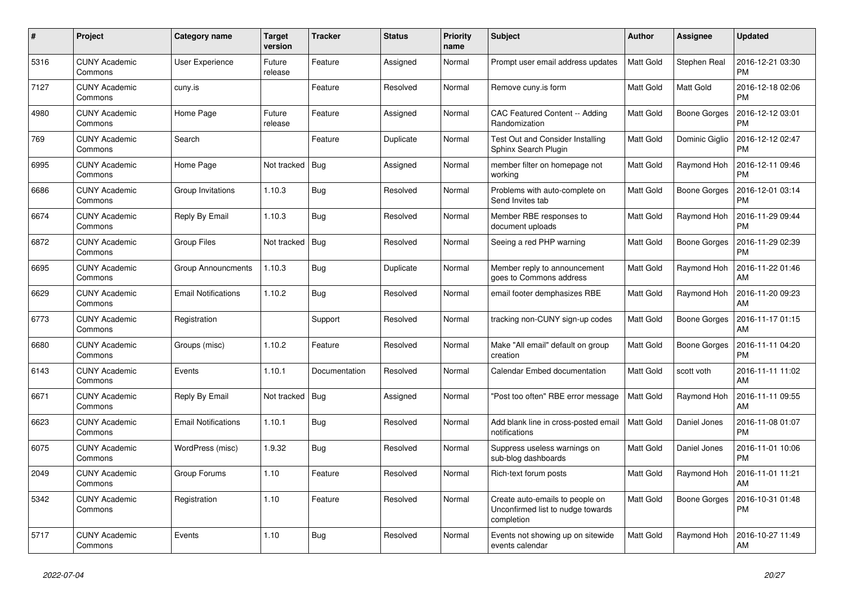| #    | Project                         | Category name              | <b>Target</b><br>version | <b>Tracker</b> | <b>Status</b> | Priority<br>name | <b>Subject</b>                                                                     | <b>Author</b>    | <b>Assignee</b>     | <b>Updated</b>                |
|------|---------------------------------|----------------------------|--------------------------|----------------|---------------|------------------|------------------------------------------------------------------------------------|------------------|---------------------|-------------------------------|
| 5316 | <b>CUNY Academic</b><br>Commons | <b>User Experience</b>     | Future<br>release        | Feature        | Assigned      | Normal           | Prompt user email address updates                                                  | <b>Matt Gold</b> | Stephen Real        | 2016-12-21 03:30<br><b>PM</b> |
| 7127 | <b>CUNY Academic</b><br>Commons | cuny.is                    |                          | Feature        | Resolved      | Normal           | Remove cuny.is form                                                                | <b>Matt Gold</b> | Matt Gold           | 2016-12-18 02:06<br><b>PM</b> |
| 4980 | <b>CUNY Academic</b><br>Commons | Home Page                  | Future<br>release        | Feature        | Assigned      | Normal           | CAC Featured Content -- Adding<br>Randomization                                    | <b>Matt Gold</b> | Boone Gorges        | 2016-12-12 03:01<br><b>PM</b> |
| 769  | <b>CUNY Academic</b><br>Commons | Search                     |                          | Feature        | Duplicate     | Normal           | Test Out and Consider Installing<br>Sphinx Search Plugin                           | <b>Matt Gold</b> | Dominic Giglio      | 2016-12-12 02:47<br><b>PM</b> |
| 6995 | <b>CUNY Academic</b><br>Commons | Home Page                  | Not tracked              | Bug            | Assigned      | Normal           | member filter on homepage not<br>working                                           | Matt Gold        | Raymond Hoh         | 2016-12-11 09:46<br><b>PM</b> |
| 6686 | <b>CUNY Academic</b><br>Commons | Group Invitations          | 1.10.3                   | Bug            | Resolved      | Normal           | Problems with auto-complete on<br>Send Invites tab                                 | <b>Matt Gold</b> | <b>Boone Gorges</b> | 2016-12-01 03:14<br><b>PM</b> |
| 6674 | <b>CUNY Academic</b><br>Commons | Reply By Email             | 1.10.3                   | Bug            | Resolved      | Normal           | Member RBE responses to<br>document uploads                                        | Matt Gold        | Raymond Hoh         | 2016-11-29 09:44<br><b>PM</b> |
| 6872 | <b>CUNY Academic</b><br>Commons | Group Files                | Not tracked              | Bug            | Resolved      | Normal           | Seeing a red PHP warning                                                           | Matt Gold        | <b>Boone Gorges</b> | 2016-11-29 02:39<br><b>PM</b> |
| 6695 | <b>CUNY Academic</b><br>Commons | <b>Group Announcments</b>  | 1.10.3                   | Bug            | Duplicate     | Normal           | Member reply to announcement<br>goes to Commons address                            | <b>Matt Gold</b> | Raymond Hoh         | 2016-11-22 01:46<br>AM        |
| 6629 | <b>CUNY Academic</b><br>Commons | <b>Email Notifications</b> | 1.10.2                   | <b>Bug</b>     | Resolved      | Normal           | email footer demphasizes RBE                                                       | Matt Gold        | Raymond Hoh         | 2016-11-20 09:23<br>AM        |
| 6773 | <b>CUNY Academic</b><br>Commons | Registration               |                          | Support        | Resolved      | Normal           | tracking non-CUNY sign-up codes                                                    | <b>Matt Gold</b> | <b>Boone Gorges</b> | 2016-11-17 01:15<br>AM        |
| 6680 | <b>CUNY Academic</b><br>Commons | Groups (misc)              | 1.10.2                   | Feature        | Resolved      | Normal           | Make "All email" default on group<br>creation                                      | <b>Matt Gold</b> | <b>Boone Gorges</b> | 2016-11-11 04:20<br><b>PM</b> |
| 6143 | <b>CUNY Academic</b><br>Commons | Events                     | 1.10.1                   | Documentation  | Resolved      | Normal           | Calendar Embed documentation                                                       | Matt Gold        | scott voth          | 2016-11-11 11:02<br>AM        |
| 6671 | <b>CUNY Academic</b><br>Commons | Reply By Email             | Not tracked              | Bug            | Assigned      | Normal           | "Post too often" RBE error message                                                 | <b>Matt Gold</b> | Raymond Hoh         | 2016-11-11 09:55<br>AM        |
| 6623 | <b>CUNY Academic</b><br>Commons | <b>Email Notifications</b> | 1.10.1                   | Bug            | Resolved      | Normal           | Add blank line in cross-posted email<br>notifications                              | <b>Matt Gold</b> | Daniel Jones        | 2016-11-08 01:07<br><b>PM</b> |
| 6075 | <b>CUNY Academic</b><br>Commons | WordPress (misc)           | 1.9.32                   | Bug            | Resolved      | Normal           | Suppress useless warnings on<br>sub-blog dashboards                                | <b>Matt Gold</b> | Daniel Jones        | 2016-11-01 10:06<br><b>PM</b> |
| 2049 | <b>CUNY Academic</b><br>Commons | Group Forums               | 1.10                     | Feature        | Resolved      | Normal           | Rich-text forum posts                                                              | <b>Matt Gold</b> | Raymond Hoh         | 2016-11-01 11:21<br>AM        |
| 5342 | <b>CUNY Academic</b><br>Commons | Registration               | 1.10                     | Feature        | Resolved      | Normal           | Create auto-emails to people on<br>Unconfirmed list to nudge towards<br>completion | <b>Matt Gold</b> | <b>Boone Gorges</b> | 2016-10-31 01:48<br><b>PM</b> |
| 5717 | <b>CUNY Academic</b><br>Commons | Events                     | 1.10                     | Bug            | Resolved      | Normal           | Events not showing up on sitewide<br>events calendar                               | Matt Gold        | Raymond Hoh         | 2016-10-27 11:49<br>AM        |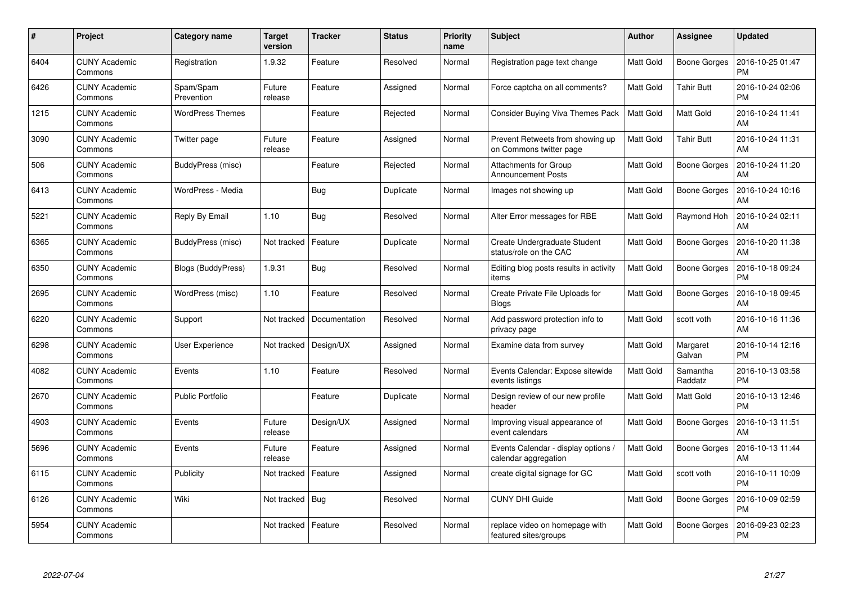| #    | Project                         | Category name           | <b>Target</b><br>version | <b>Tracker</b> | <b>Status</b> | <b>Priority</b><br>name | Subject                                                     | <b>Author</b>    | <b>Assignee</b>     | <b>Updated</b>                |
|------|---------------------------------|-------------------------|--------------------------|----------------|---------------|-------------------------|-------------------------------------------------------------|------------------|---------------------|-------------------------------|
| 6404 | <b>CUNY Academic</b><br>Commons | Registration            | 1.9.32                   | Feature        | Resolved      | Normal                  | Registration page text change                               | <b>Matt Gold</b> | <b>Boone Gorges</b> | 2016-10-25 01:47<br><b>PM</b> |
| 6426 | <b>CUNY Academic</b><br>Commons | Spam/Spam<br>Prevention | Future<br>release        | Feature        | Assigned      | Normal                  | Force captcha on all comments?                              | <b>Matt Gold</b> | Tahir Butt          | 2016-10-24 02:06<br><b>PM</b> |
| 1215 | <b>CUNY Academic</b><br>Commons | <b>WordPress Themes</b> |                          | Feature        | Rejected      | Normal                  | Consider Buying Viva Themes Pack                            | Matt Gold        | Matt Gold           | 2016-10-24 11:41<br>AM        |
| 3090 | <b>CUNY Academic</b><br>Commons | Twitter page            | Future<br>release        | Feature        | Assigned      | Normal                  | Prevent Retweets from showing up<br>on Commons twitter page | <b>Matt Gold</b> | Tahir Butt          | 2016-10-24 11:31<br>AM        |
| 506  | <b>CUNY Academic</b><br>Commons | BuddyPress (misc)       |                          | Feature        | Rejected      | Normal                  | Attachments for Group<br><b>Announcement Posts</b>          | Matt Gold        | <b>Boone Gorges</b> | 2016-10-24 11:20<br>AM        |
| 6413 | <b>CUNY Academic</b><br>Commons | WordPress - Media       |                          | <b>Bug</b>     | Duplicate     | Normal                  | Images not showing up                                       | Matt Gold        | <b>Boone Gorges</b> | 2016-10-24 10:16<br>AM        |
| 5221 | <b>CUNY Academic</b><br>Commons | Reply By Email          | 1.10                     | Bug            | Resolved      | Normal                  | Alter Error messages for RBE                                | <b>Matt Gold</b> | Raymond Hoh         | 2016-10-24 02:11<br>AM        |
| 6365 | <b>CUNY Academic</b><br>Commons | BuddyPress (misc)       | Not tracked              | Feature        | Duplicate     | Normal                  | Create Undergraduate Student<br>status/role on the CAC      | Matt Gold        | <b>Boone Gorges</b> | 2016-10-20 11:38<br>AM        |
| 6350 | <b>CUNY Academic</b><br>Commons | Blogs (BuddyPress)      | 1.9.31                   | <b>Bug</b>     | Resolved      | Normal                  | Editing blog posts results in activity<br>items             | <b>Matt Gold</b> | <b>Boone Gorges</b> | 2016-10-18 09:24<br><b>PM</b> |
| 2695 | <b>CUNY Academic</b><br>Commons | WordPress (misc)        | 1.10                     | Feature        | Resolved      | Normal                  | Create Private File Uploads for<br><b>Blogs</b>             | <b>Matt Gold</b> | <b>Boone Gorges</b> | 2016-10-18 09:45<br>AM        |
| 6220 | <b>CUNY Academic</b><br>Commons | Support                 | Not tracked              | Documentation  | Resolved      | Normal                  | Add password protection info to<br>privacy page             | <b>Matt Gold</b> | scott voth          | 2016-10-16 11:36<br>AM        |
| 6298 | <b>CUNY Academic</b><br>Commons | <b>User Experience</b>  | Not tracked              | Design/UX      | Assigned      | Normal                  | Examine data from survey                                    | <b>Matt Gold</b> | Margaret<br>Galvan  | 2016-10-14 12:16<br><b>PM</b> |
| 4082 | <b>CUNY Academic</b><br>Commons | Events                  | 1.10                     | Feature        | Resolved      | Normal                  | Events Calendar: Expose sitewide<br>events listings         | <b>Matt Gold</b> | Samantha<br>Raddatz | 2016-10-13 03:58<br><b>PM</b> |
| 2670 | <b>CUNY Academic</b><br>Commons | <b>Public Portfolio</b> |                          | Feature        | Duplicate     | Normal                  | Design review of our new profile<br>header                  | Matt Gold        | Matt Gold           | 2016-10-13 12:46<br><b>PM</b> |
| 4903 | <b>CUNY Academic</b><br>Commons | Events                  | Future<br>release        | Design/UX      | Assigned      | Normal                  | Improving visual appearance of<br>event calendars           | <b>Matt Gold</b> | <b>Boone Gorges</b> | 2016-10-13 11:51<br>AM        |
| 5696 | <b>CUNY Academic</b><br>Commons | Events                  | Future<br>release        | Feature        | Assigned      | Normal                  | Events Calendar - display options /<br>calendar aggregation | Matt Gold        | <b>Boone Gorges</b> | 2016-10-13 11:44<br>AM        |
| 6115 | <b>CUNY Academic</b><br>Commons | Publicity               | Not tracked              | Feature        | Assigned      | Normal                  | create digital signage for GC                               | <b>Matt Gold</b> | scott voth          | 2016-10-11 10:09<br><b>PM</b> |
| 6126 | <b>CUNY Academic</b><br>Commons | Wiki                    | Not tracked              | <b>Bug</b>     | Resolved      | Normal                  | <b>CUNY DHI Guide</b>                                       | Matt Gold        | <b>Boone Gorges</b> | 2016-10-09 02:59<br><b>PM</b> |
| 5954 | <b>CUNY Academic</b><br>Commons |                         | Not tracked              | Feature        | Resolved      | Normal                  | replace video on homepage with<br>featured sites/groups     | Matt Gold        | <b>Boone Gorges</b> | 2016-09-23 02:23<br><b>PM</b> |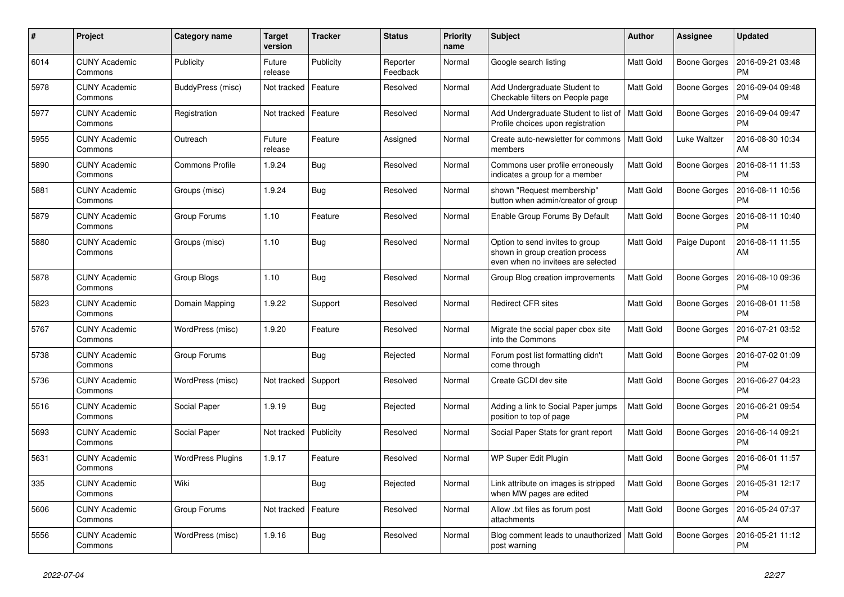| $\#$ | Project                         | Category name            | Target<br>version | <b>Tracker</b> | <b>Status</b>        | Priority<br>name | <b>Subject</b>                                                                                           | <b>Author</b>    | <b>Assignee</b>     | <b>Updated</b>                |
|------|---------------------------------|--------------------------|-------------------|----------------|----------------------|------------------|----------------------------------------------------------------------------------------------------------|------------------|---------------------|-------------------------------|
| 6014 | <b>CUNY Academic</b><br>Commons | Publicity                | Future<br>release | Publicity      | Reporter<br>Feedback | Normal           | Google search listing                                                                                    | <b>Matt Gold</b> | Boone Gorges        | 2016-09-21 03:48<br><b>PM</b> |
| 5978 | <b>CUNY Academic</b><br>Commons | BuddyPress (misc)        | Not tracked       | Feature        | Resolved             | Normal           | Add Undergraduate Student to<br>Checkable filters on People page                                         | <b>Matt Gold</b> | <b>Boone Gorges</b> | 2016-09-04 09:48<br><b>PM</b> |
| 5977 | <b>CUNY Academic</b><br>Commons | Registration             | Not tracked       | Feature        | Resolved             | Normal           | Add Undergraduate Student to list of   Matt Gold<br>Profile choices upon registration                    |                  | <b>Boone Gorges</b> | 2016-09-04 09:47<br><b>PM</b> |
| 5955 | <b>CUNY Academic</b><br>Commons | Outreach                 | Future<br>release | Feature        | Assigned             | Normal           | Create auto-newsletter for commons<br>members                                                            | Matt Gold        | Luke Waltzer        | 2016-08-30 10:34<br>AM        |
| 5890 | <b>CUNY Academic</b><br>Commons | <b>Commons Profile</b>   | 1.9.24            | Bug            | Resolved             | Normal           | Commons user profile erroneously<br>indicates a group for a member                                       | Matt Gold        | <b>Boone Gorges</b> | 2016-08-11 11:53<br><b>PM</b> |
| 5881 | <b>CUNY Academic</b><br>Commons | Groups (misc)            | 1.9.24            | Bug            | Resolved             | Normal           | shown "Request membership"<br>button when admin/creator of group                                         | Matt Gold        | <b>Boone Gorges</b> | 2016-08-11 10:56<br><b>PM</b> |
| 5879 | <b>CUNY Academic</b><br>Commons | Group Forums             | 1.10              | Feature        | Resolved             | Normal           | Enable Group Forums By Default                                                                           | <b>Matt Gold</b> | <b>Boone Gorges</b> | 2016-08-11 10:40<br><b>PM</b> |
| 5880 | <b>CUNY Academic</b><br>Commons | Groups (misc)            | 1.10              | Bug            | Resolved             | Normal           | Option to send invites to group<br>shown in group creation process<br>even when no invitees are selected | <b>Matt Gold</b> | Paige Dupont        | 2016-08-11 11:55<br>AM        |
| 5878 | <b>CUNY Academic</b><br>Commons | Group Blogs              | 1.10              | Bug            | Resolved             | Normal           | Group Blog creation improvements                                                                         | <b>Matt Gold</b> | <b>Boone Gorges</b> | 2016-08-10 09:36<br><b>PM</b> |
| 5823 | <b>CUNY Academic</b><br>Commons | Domain Mapping           | 1.9.22            | Support        | Resolved             | Normal           | <b>Redirect CFR sites</b>                                                                                | Matt Gold        | <b>Boone Gorges</b> | 2016-08-01 11:58<br><b>PM</b> |
| 5767 | <b>CUNY Academic</b><br>Commons | WordPress (misc)         | 1.9.20            | Feature        | Resolved             | Normal           | Migrate the social paper cbox site<br>into the Commons                                                   | Matt Gold        | <b>Boone Gorges</b> | 2016-07-21 03:52<br><b>PM</b> |
| 5738 | <b>CUNY Academic</b><br>Commons | Group Forums             |                   | Bug            | Rejected             | Normal           | Forum post list formatting didn't<br>come through                                                        | Matt Gold        | <b>Boone Gorges</b> | 2016-07-02 01:09<br><b>PM</b> |
| 5736 | <b>CUNY Academic</b><br>Commons | WordPress (misc)         | Not tracked       | Support        | Resolved             | Normal           | Create GCDI dev site                                                                                     | Matt Gold        | Boone Gorges        | 2016-06-27 04:23<br><b>PM</b> |
| 5516 | <b>CUNY Academic</b><br>Commons | Social Paper             | 1.9.19            | Bug            | Rejected             | Normal           | Adding a link to Social Paper jumps<br>position to top of page                                           | Matt Gold        | Boone Gorges        | 2016-06-21 09:54<br><b>PM</b> |
| 5693 | <b>CUNY Academic</b><br>Commons | Social Paper             | Not tracked       | Publicity      | Resolved             | Normal           | Social Paper Stats for grant report                                                                      | <b>Matt Gold</b> | <b>Boone Gorges</b> | 2016-06-14 09:21<br>PM        |
| 5631 | <b>CUNY Academic</b><br>Commons | <b>WordPress Plugins</b> | 1.9.17            | Feature        | Resolved             | Normal           | WP Super Edit Plugin                                                                                     | Matt Gold        | Boone Gorges        | 2016-06-01 11:57<br><b>PM</b> |
| 335  | <b>CUNY Academic</b><br>Commons | Wiki                     |                   | Bug            | Rejected             | Normal           | Link attribute on images is stripped<br>when MW pages are edited                                         | <b>Matt Gold</b> | Boone Gorges        | 2016-05-31 12:17<br><b>PM</b> |
| 5606 | <b>CUNY Academic</b><br>Commons | Group Forums             | Not tracked       | Feature        | Resolved             | Normal           | Allow .txt files as forum post<br>attachments                                                            | <b>Matt Gold</b> | <b>Boone Gorges</b> | 2016-05-24 07:37<br>AM        |
| 5556 | <b>CUNY Academic</b><br>Commons | WordPress (misc)         | 1.9.16            | Bug            | Resolved             | Normal           | Blog comment leads to unauthorized   Matt Gold<br>post warning                                           |                  | <b>Boone Gorges</b> | 2016-05-21 11:12<br><b>PM</b> |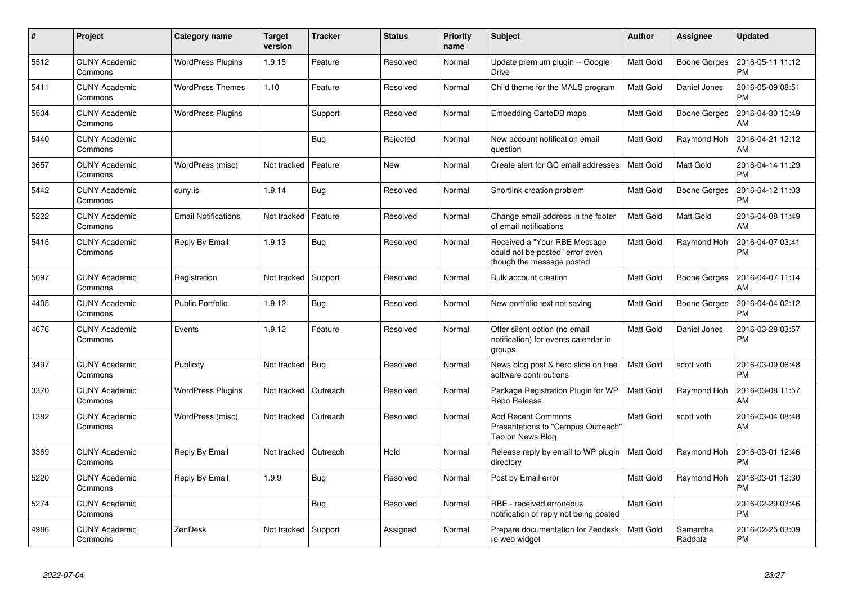| $\#$ | Project                         | Category name              | <b>Target</b><br>version | <b>Tracker</b> | <b>Status</b> | <b>Priority</b><br>name | <b>Subject</b>                                                                               | <b>Author</b>    | Assignee            | <b>Updated</b>                |
|------|---------------------------------|----------------------------|--------------------------|----------------|---------------|-------------------------|----------------------------------------------------------------------------------------------|------------------|---------------------|-------------------------------|
| 5512 | <b>CUNY Academic</b><br>Commons | <b>WordPress Plugins</b>   | 1.9.15                   | Feature        | Resolved      | Normal                  | Update premium plugin -- Google<br><b>Drive</b>                                              | Matt Gold        | <b>Boone Gorges</b> | 2016-05-11 11:12<br><b>PM</b> |
| 5411 | <b>CUNY Academic</b><br>Commons | <b>WordPress Themes</b>    | 1.10                     | Feature        | Resolved      | Normal                  | Child theme for the MALS program                                                             | Matt Gold        | Daniel Jones        | 2016-05-09 08:51<br><b>PM</b> |
| 5504 | <b>CUNY Academic</b><br>Commons | <b>WordPress Plugins</b>   |                          | Support        | Resolved      | Normal                  | Embedding CartoDB maps                                                                       | Matt Gold        | <b>Boone Gorges</b> | 2016-04-30 10:49<br>AM        |
| 5440 | <b>CUNY Academic</b><br>Commons |                            |                          | Bug            | Rejected      | Normal                  | New account notification email<br>question                                                   | Matt Gold        | Raymond Hoh         | 2016-04-21 12:12<br>AM        |
| 3657 | <b>CUNY Academic</b><br>Commons | WordPress (misc)           | Not tracked              | Feature        | New           | Normal                  | Create alert for GC email addresses                                                          | <b>Matt Gold</b> | Matt Gold           | 2016-04-14 11:29<br><b>PM</b> |
| 5442 | <b>CUNY Academic</b><br>Commons | cuny.is                    | 1.9.14                   | Bug            | Resolved      | Normal                  | Shortlink creation problem                                                                   | Matt Gold        | <b>Boone Gorges</b> | 2016-04-12 11:03<br><b>PM</b> |
| 5222 | <b>CUNY Academic</b><br>Commons | <b>Email Notifications</b> | Not tracked              | Feature        | Resolved      | Normal                  | Change email address in the footer<br>of email notifications                                 | Matt Gold        | Matt Gold           | 2016-04-08 11:49<br>AM        |
| 5415 | <b>CUNY Academic</b><br>Commons | Reply By Email             | 1.9.13                   | <b>Bug</b>     | Resolved      | Normal                  | Received a "Your RBE Message<br>could not be posted" error even<br>though the message posted | Matt Gold        | Raymond Hoh         | 2016-04-07 03:41<br><b>PM</b> |
| 5097 | <b>CUNY Academic</b><br>Commons | Registration               | Not tracked              | Support        | Resolved      | Normal                  | Bulk account creation                                                                        | Matt Gold        | <b>Boone Gorges</b> | 2016-04-07 11:14<br>AM        |
| 4405 | <b>CUNY Academic</b><br>Commons | <b>Public Portfolio</b>    | 1.9.12                   | Bug            | Resolved      | Normal                  | New portfolio text not saving                                                                | <b>Matt Gold</b> | <b>Boone Gorges</b> | 2016-04-04 02:12<br><b>PM</b> |
| 4676 | <b>CUNY Academic</b><br>Commons | Events                     | 1.9.12                   | Feature        | Resolved      | Normal                  | Offer silent option (no email<br>notification) for events calendar in<br>groups              | <b>Matt Gold</b> | Daniel Jones        | 2016-03-28 03:57<br><b>PM</b> |
| 3497 | <b>CUNY Academic</b><br>Commons | Publicity                  | Not tracked              | Bug            | Resolved      | Normal                  | News blog post & hero slide on free<br>software contributions                                | Matt Gold        | scott voth          | 2016-03-09 06:48<br><b>PM</b> |
| 3370 | <b>CUNY Academic</b><br>Commons | <b>WordPress Plugins</b>   | Not tracked              | Outreach       | Resolved      | Normal                  | Package Registration Plugin for WP<br>Repo Release                                           | <b>Matt Gold</b> | Raymond Hoh         | 2016-03-08 11:57<br>AM        |
| 1382 | <b>CUNY Academic</b><br>Commons | WordPress (misc)           | Not tracked              | Outreach       | Resolved      | Normal                  | <b>Add Recent Commons</b><br>Presentations to "Campus Outreach"<br>Tab on News Blog          | Matt Gold        | scott voth          | 2016-03-04 08:48<br>AM        |
| 3369 | <b>CUNY Academic</b><br>Commons | Reply By Email             | Not tracked              | Outreach       | Hold          | Normal                  | Release reply by email to WP plugin<br>directory                                             | <b>Matt Gold</b> | Raymond Hoh         | 2016-03-01 12:46<br><b>PM</b> |
| 5220 | <b>CUNY Academic</b><br>Commons | Reply By Email             | 1.9.9                    | <b>Bug</b>     | Resolved      | Normal                  | Post by Email error                                                                          | Matt Gold        | Raymond Hoh         | 2016-03-01 12:30<br><b>PM</b> |
| 5274 | <b>CUNY Academic</b><br>Commons |                            |                          | Bug            | Resolved      | Normal                  | RBE - received erroneous<br>notification of reply not being posted                           | Matt Gold        |                     | 2016-02-29 03:46<br><b>PM</b> |
| 4986 | <b>CUNY Academic</b><br>Commons | ZenDesk                    | Not tracked              | Support        | Assigned      | Normal                  | Prepare documentation for Zendesk<br>re web widget                                           | Matt Gold        | Samantha<br>Raddatz | 2016-02-25 03:09<br><b>PM</b> |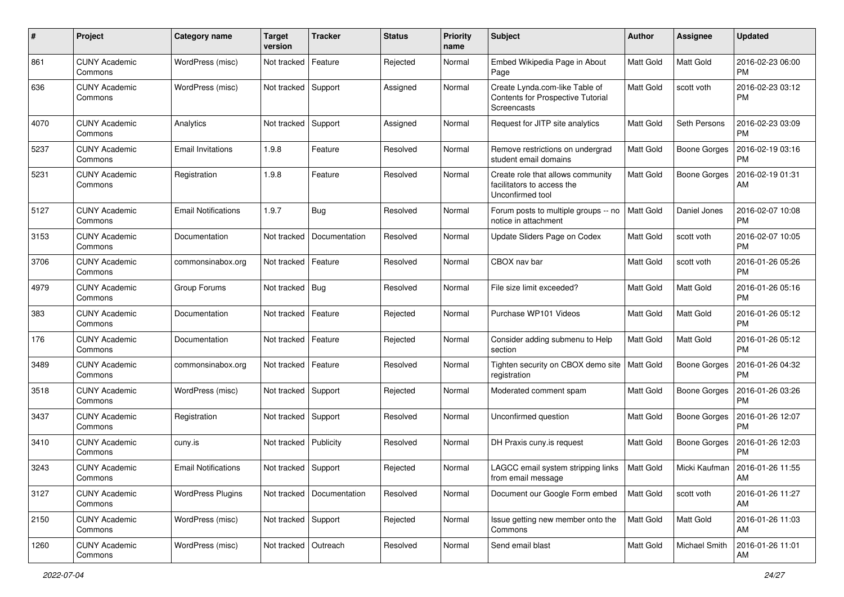| #    | Project                         | <b>Category name</b>       | <b>Target</b><br>version | <b>Tracker</b>              | <b>Status</b> | <b>Priority</b><br>name | <b>Subject</b>                                                                      | Author           | <b>Assignee</b>     | <b>Updated</b>                |
|------|---------------------------------|----------------------------|--------------------------|-----------------------------|---------------|-------------------------|-------------------------------------------------------------------------------------|------------------|---------------------|-------------------------------|
| 861  | <b>CUNY Academic</b><br>Commons | WordPress (misc)           | Not tracked              | Feature                     | Rejected      | Normal                  | Embed Wikipedia Page in About<br>Page                                               | Matt Gold        | Matt Gold           | 2016-02-23 06:00<br><b>PM</b> |
| 636  | <b>CUNY Academic</b><br>Commons | WordPress (misc)           | Not tracked              | Support                     | Assigned      | Normal                  | Create Lynda.com-like Table of<br>Contents for Prospective Tutorial<br>Screencasts  | <b>Matt Gold</b> | scott voth          | 2016-02-23 03:12<br><b>PM</b> |
| 4070 | <b>CUNY Academic</b><br>Commons | Analytics                  | Not tracked              | Support                     | Assigned      | Normal                  | Request for JITP site analytics                                                     | <b>Matt Gold</b> | Seth Persons        | 2016-02-23 03:09<br><b>PM</b> |
| 5237 | CUNY Academic<br>Commons        | <b>Email Invitations</b>   | 1.9.8                    | Feature                     | Resolved      | Normal                  | Remove restrictions on undergrad<br>student email domains                           | Matt Gold        | <b>Boone Gorges</b> | 2016-02-19 03:16<br><b>PM</b> |
| 5231 | <b>CUNY Academic</b><br>Commons | Registration               | 1.9.8                    | Feature                     | Resolved      | Normal                  | Create role that allows community<br>facilitators to access the<br>Unconfirmed tool | <b>Matt Gold</b> | <b>Boone Gorges</b> | 2016-02-19 01:31<br>AM        |
| 5127 | <b>CUNY Academic</b><br>Commons | <b>Email Notifications</b> | 1.9.7                    | Bug                         | Resolved      | Normal                  | Forum posts to multiple groups -- no<br>notice in attachment                        | <b>Matt Gold</b> | Daniel Jones        | 2016-02-07 10:08<br><b>PM</b> |
| 3153 | CUNY Academic<br>Commons        | Documentation              | Not tracked              | Documentation               | Resolved      | Normal                  | Update Sliders Page on Codex                                                        | <b>Matt Gold</b> | scott voth          | 2016-02-07 10:05<br><b>PM</b> |
| 3706 | CUNY Academic<br>Commons        | commonsinabox.org          | Not tracked              | Feature                     | Resolved      | Normal                  | CBOX nav bar                                                                        | <b>Matt Gold</b> | scott voth          | 2016-01-26 05:26<br><b>PM</b> |
| 4979 | CUNY Academic<br>Commons        | Group Forums               | Not tracked   Bug        |                             | Resolved      | Normal                  | File size limit exceeded?                                                           | <b>Matt Gold</b> | Matt Gold           | 2016-01-26 05:16<br><b>PM</b> |
| 383  | <b>CUNY Academic</b><br>Commons | Documentation              | Not tracked              | Feature                     | Rejected      | Normal                  | Purchase WP101 Videos                                                               | <b>Matt Gold</b> | Matt Gold           | 2016-01-26 05:12<br><b>PM</b> |
| 176  | <b>CUNY Academic</b><br>Commons | Documentation              | Not tracked              | Feature                     | Rejected      | Normal                  | Consider adding submenu to Help<br>section                                          | <b>Matt Gold</b> | Matt Gold           | 2016-01-26 05:12<br><b>PM</b> |
| 3489 | CUNY Academic<br>Commons        | commonsinabox.org          | Not tracked              | Feature                     | Resolved      | Normal                  | Tighten security on CBOX demo site<br>registration                                  | Matt Gold        | <b>Boone Gorges</b> | 2016-01-26 04:32<br><b>PM</b> |
| 3518 | CUNY Academic<br>Commons        | WordPress (misc)           | Not tracked              | Support                     | Rejected      | Normal                  | Moderated comment spam                                                              | <b>Matt Gold</b> | <b>Boone Gorges</b> | 2016-01-26 03:26<br><b>PM</b> |
| 3437 | <b>CUNY Academic</b><br>Commons | Registration               | Not tracked              | Support                     | Resolved      | Normal                  | Unconfirmed question                                                                | Matt Gold        | <b>Boone Gorges</b> | 2016-01-26 12:07<br><b>PM</b> |
| 3410 | <b>CUNY Academic</b><br>Commons | cuny.is                    | Not tracked              | Publicity                   | Resolved      | Normal                  | DH Praxis cuny is request                                                           | <b>Matt Gold</b> | <b>Boone Gorges</b> | 2016-01-26 12:03<br><b>PM</b> |
| 3243 | CUNY Academic<br>Commons        | <b>Email Notifications</b> | Not tracked Support      |                             | Rejected      | Normal                  | LAGCC email system stripping links<br>from email message                            | Matt Gold        | Micki Kaufman       | 2016-01-26 11:55<br>AM        |
| 3127 | CUNY Academic<br>Commons        | <b>WordPress Plugins</b>   |                          | Not tracked   Documentation | Resolved      | Normal                  | Document our Google Form embed                                                      | <b>Matt Gold</b> | scott voth          | 2016-01-26 11:27<br>AM        |
| 2150 | <b>CUNY Academic</b><br>Commons | WordPress (misc)           | Not tracked Support      |                             | Rejected      | Normal                  | Issue getting new member onto the<br>Commons                                        | Matt Gold        | Matt Gold           | 2016-01-26 11:03<br>AM        |
| 1260 | <b>CUNY Academic</b><br>Commons | WordPress (misc)           | Not tracked   Outreach   |                             | Resolved      | Normal                  | Send email blast                                                                    | Matt Gold        | Michael Smith       | 2016-01-26 11:01<br>AM        |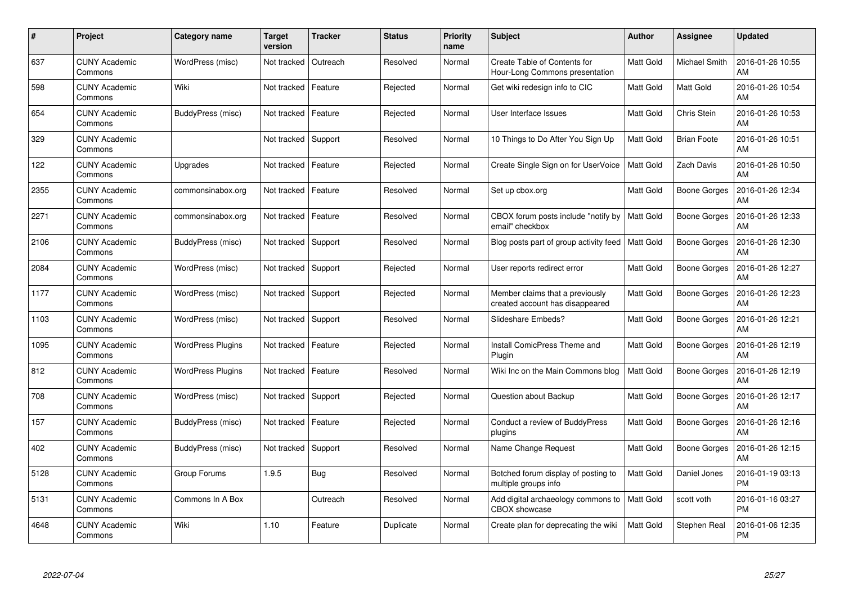| #    | Project                         | Category name            | <b>Target</b><br>version | <b>Tracker</b> | <b>Status</b> | <b>Priority</b><br>name | <b>Subject</b>                                                     | <b>Author</b>    | Assignee             | <b>Updated</b>                |
|------|---------------------------------|--------------------------|--------------------------|----------------|---------------|-------------------------|--------------------------------------------------------------------|------------------|----------------------|-------------------------------|
| 637  | <b>CUNY Academic</b><br>Commons | WordPress (misc)         | Not tracked              | Outreach       | Resolved      | Normal                  | Create Table of Contents for<br>Hour-Long Commons presentation     | Matt Gold        | <b>Michael Smith</b> | 2016-01-26 10:55<br>AM        |
| 598  | <b>CUNY Academic</b><br>Commons | Wiki                     | Not tracked              | Feature        | Rejected      | Normal                  | Get wiki redesign info to CIC                                      | <b>Matt Gold</b> | Matt Gold            | 2016-01-26 10:54<br>AM        |
| 654  | <b>CUNY Academic</b><br>Commons | BuddyPress (misc)        | Not tracked              | Feature        | Rejected      | Normal                  | User Interface Issues                                              | Matt Gold        | Chris Stein          | 2016-01-26 10:53<br>AM        |
| 329  | <b>CUNY Academic</b><br>Commons |                          | Not tracked              | Support        | Resolved      | Normal                  | 10 Things to Do After You Sign Up                                  | <b>Matt Gold</b> | <b>Brian Foote</b>   | 2016-01-26 10:51<br>AM        |
| 122  | <b>CUNY Academic</b><br>Commons | Upgrades                 | Not tracked              | Feature        | Rejected      | Normal                  | Create Single Sign on for UserVoice                                | <b>Matt Gold</b> | Zach Davis           | 2016-01-26 10:50<br>AM        |
| 2355 | <b>CUNY Academic</b><br>Commons | commonsinabox.org        | Not tracked              | Feature        | Resolved      | Normal                  | Set up cbox.org                                                    | Matt Gold        | <b>Boone Gorges</b>  | 2016-01-26 12:34<br>AM        |
| 2271 | <b>CUNY Academic</b><br>Commons | commonsinabox.org        | Not tracked              | Feature        | Resolved      | Normal                  | CBOX forum posts include "notify by<br>email" checkbox             | <b>Matt Gold</b> | <b>Boone Gorges</b>  | 2016-01-26 12:33<br>AM        |
| 2106 | <b>CUNY Academic</b><br>Commons | BuddyPress (misc)        | Not tracked              | Support        | Resolved      | Normal                  | Blog posts part of group activity feed                             | Matt Gold        | Boone Gorges         | 2016-01-26 12:30<br>AM        |
| 2084 | <b>CUNY Academic</b><br>Commons | WordPress (misc)         | Not tracked              | Support        | Rejected      | Normal                  | User reports redirect error                                        | Matt Gold        | <b>Boone Gorges</b>  | 2016-01-26 12:27<br>AM        |
| 1177 | <b>CUNY Academic</b><br>Commons | WordPress (misc)         | Not tracked              | Support        | Rejected      | Normal                  | Member claims that a previously<br>created account has disappeared | Matt Gold        | <b>Boone Gorges</b>  | 2016-01-26 12:23<br>AM        |
| 1103 | <b>CUNY Academic</b><br>Commons | WordPress (misc)         | Not tracked              | Support        | Resolved      | Normal                  | Slideshare Embeds?                                                 | <b>Matt Gold</b> | <b>Boone Gorges</b>  | 2016-01-26 12:21<br>AM        |
| 1095 | <b>CUNY Academic</b><br>Commons | <b>WordPress Plugins</b> | Not tracked              | Feature        | Rejected      | Normal                  | Install ComicPress Theme and<br>Plugin                             | Matt Gold        | Boone Gorges         | 2016-01-26 12:19<br>AM        |
| 812  | <b>CUNY Academic</b><br>Commons | <b>WordPress Plugins</b> | Not tracked              | Feature        | Resolved      | Normal                  | Wiki Inc on the Main Commons blog                                  | Matt Gold        | <b>Boone Gorges</b>  | 2016-01-26 12:19<br>AM        |
| 708  | <b>CUNY Academic</b><br>Commons | WordPress (misc)         | Not tracked              | Support        | Rejected      | Normal                  | Question about Backup                                              | Matt Gold        | <b>Boone Gorges</b>  | 2016-01-26 12:17<br>AM        |
| 157  | <b>CUNY Academic</b><br>Commons | <b>BuddyPress (misc)</b> | Not tracked              | Feature        | Rejected      | Normal                  | Conduct a review of BuddyPress<br>plugins                          | <b>Matt Gold</b> | <b>Boone Gorges</b>  | 2016-01-26 12:16<br>AM        |
| 402  | <b>CUNY Academic</b><br>Commons | BuddyPress (misc)        | Not tracked              | Support        | Resolved      | Normal                  | Name Change Request                                                | Matt Gold        | <b>Boone Gorges</b>  | 2016-01-26 12:15<br>AM        |
| 5128 | <b>CUNY Academic</b><br>Commons | Group Forums             | 1.9.5                    | <b>Bug</b>     | Resolved      | Normal                  | Botched forum display of posting to<br>multiple groups info        | <b>Matt Gold</b> | Daniel Jones         | 2016-01-19 03:13<br><b>PM</b> |
| 5131 | <b>CUNY Academic</b><br>Commons | Commons In A Box         |                          | Outreach       | Resolved      | Normal                  | Add digital archaeology commons to<br>CBOX showcase                | <b>Matt Gold</b> | scott voth           | 2016-01-16 03:27<br><b>PM</b> |
| 4648 | CUNY Academic<br>Commons        | Wiki                     | 1.10                     | Feature        | Duplicate     | Normal                  | Create plan for deprecating the wiki                               | <b>Matt Gold</b> | Stephen Real         | 2016-01-06 12:35<br><b>PM</b> |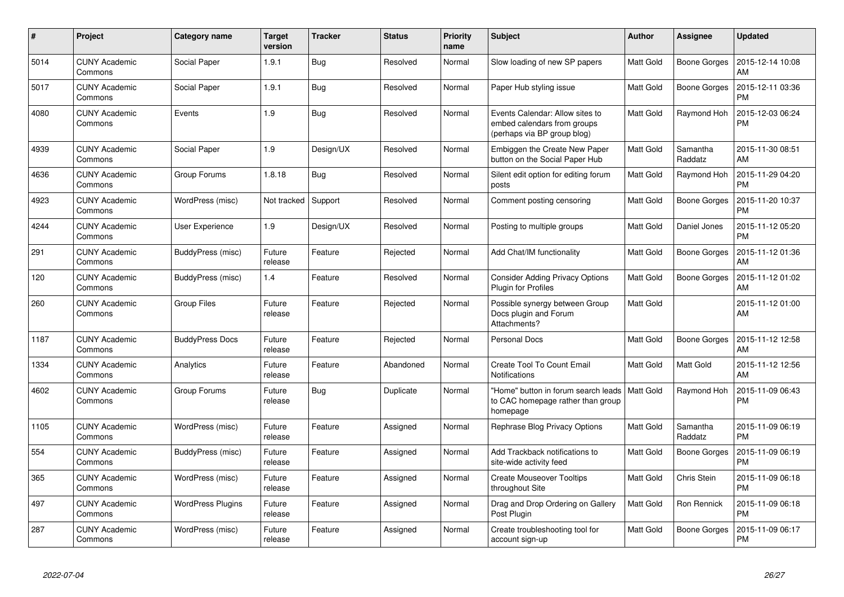| $\#$ | Project                         | Category name            | <b>Target</b><br>version | <b>Tracker</b> | <b>Status</b> | Priority<br>name | <b>Subject</b>                                                                                | <b>Author</b>    | Assignee            | <b>Updated</b>                |
|------|---------------------------------|--------------------------|--------------------------|----------------|---------------|------------------|-----------------------------------------------------------------------------------------------|------------------|---------------------|-------------------------------|
| 5014 | <b>CUNY Academic</b><br>Commons | Social Paper             | 1.9.1                    | Bug            | Resolved      | Normal           | Slow loading of new SP papers                                                                 | <b>Matt Gold</b> | Boone Gorges        | 2015-12-14 10:08<br>AM        |
| 5017 | <b>CUNY Academic</b><br>Commons | Social Paper             | 1.9.1                    | <b>Bug</b>     | Resolved      | Normal           | Paper Hub styling issue                                                                       | Matt Gold        | <b>Boone Gorges</b> | 2015-12-11 03:36<br><b>PM</b> |
| 4080 | <b>CUNY Academic</b><br>Commons | Events                   | 1.9                      | <b>Bug</b>     | Resolved      | Normal           | Events Calendar: Allow sites to<br>embed calendars from groups<br>(perhaps via BP group blog) | <b>Matt Gold</b> | Raymond Hoh         | 2015-12-03 06:24<br><b>PM</b> |
| 4939 | <b>CUNY Academic</b><br>Commons | Social Paper             | 1.9                      | Design/UX      | Resolved      | Normal           | Embiggen the Create New Paper<br>button on the Social Paper Hub                               | <b>Matt Gold</b> | Samantha<br>Raddatz | 2015-11-30 08:51<br>AM        |
| 4636 | <b>CUNY Academic</b><br>Commons | Group Forums             | 1.8.18                   | <b>Bug</b>     | Resolved      | Normal           | Silent edit option for editing forum<br>posts                                                 | Matt Gold        | Raymond Hoh         | 2015-11-29 04:20<br><b>PM</b> |
| 4923 | <b>CUNY Academic</b><br>Commons | WordPress (misc)         | Not tracked              | Support        | Resolved      | Normal           | Comment posting censoring                                                                     | Matt Gold        | Boone Gorges        | 2015-11-20 10:37<br><b>PM</b> |
| 4244 | <b>CUNY Academic</b><br>Commons | User Experience          | 1.9                      | Design/UX      | Resolved      | Normal           | Posting to multiple groups                                                                    | Matt Gold        | Daniel Jones        | 2015-11-12 05:20<br><b>PM</b> |
| 291  | <b>CUNY Academic</b><br>Commons | BuddyPress (misc)        | Future<br>release        | Feature        | Rejected      | Normal           | Add Chat/IM functionality                                                                     | Matt Gold        | <b>Boone Gorges</b> | 2015-11-12 01:36<br>AM        |
| 120  | <b>CUNY Academic</b><br>Commons | BuddyPress (misc)        | 1.4                      | Feature        | Resolved      | Normal           | <b>Consider Adding Privacy Options</b><br>Plugin for Profiles                                 | Matt Gold        | Boone Gorges        | 2015-11-12 01:02<br>AM        |
| 260  | <b>CUNY Academic</b><br>Commons | Group Files              | Future<br>release        | Feature        | Rejected      | Normal           | Possible synergy between Group<br>Docs plugin and Forum<br>Attachments?                       | Matt Gold        |                     | 2015-11-12 01:00<br>AM        |
| 1187 | <b>CUNY Academic</b><br>Commons | <b>BuddyPress Docs</b>   | Future<br>release        | Feature        | Rejected      | Normal           | <b>Personal Docs</b>                                                                          | Matt Gold        | Boone Gorges        | 2015-11-12 12:58<br>AM        |
| 1334 | <b>CUNY Academic</b><br>Commons | Analytics                | Future<br>release        | Feature        | Abandoned     | Normal           | Create Tool To Count Email<br>Notifications                                                   | Matt Gold        | Matt Gold           | 2015-11-12 12:56<br>AM        |
| 4602 | <b>CUNY Academic</b><br>Commons | Group Forums             | Future<br>release        | Bug            | Duplicate     | Normal           | "Home" button in forum search leads<br>to CAC homepage rather than group<br>homepage          | <b>Matt Gold</b> | Raymond Hoh         | 2015-11-09 06:43<br>PM        |
| 1105 | <b>CUNY Academic</b><br>Commons | WordPress (misc)         | Future<br>release        | Feature        | Assigned      | Normal           | Rephrase Blog Privacy Options                                                                 | Matt Gold        | Samantha<br>Raddatz | 2015-11-09 06:19<br><b>PM</b> |
| 554  | CUNY Academic<br>Commons        | BuddyPress (misc)        | Future<br>release        | Feature        | Assigned      | Normal           | Add Trackback notifications to<br>site-wide activity feed                                     | Matt Gold        | <b>Boone Gorges</b> | 2015-11-09 06:19<br><b>PM</b> |
| 365  | <b>CUNY Academic</b><br>Commons | WordPress (misc)         | Future<br>release        | Feature        | Assigned      | Normal           | <b>Create Mouseover Tooltips</b><br>throughout Site                                           | Matt Gold        | Chris Stein         | 2015-11-09 06:18<br><b>PM</b> |
| 497  | <b>CUNY Academic</b><br>Commons | <b>WordPress Plugins</b> | Future<br>release        | Feature        | Assigned      | Normal           | Drag and Drop Ordering on Gallery<br>Post Plugin                                              | Matt Gold        | Ron Rennick         | 2015-11-09 06:18<br><b>PM</b> |
| 287  | <b>CUNY Academic</b><br>Commons | WordPress (misc)         | Future<br>release        | Feature        | Assigned      | Normal           | Create troubleshooting tool for<br>account sign-up                                            | <b>Matt Gold</b> | <b>Boone Gorges</b> | 2015-11-09 06:17<br><b>PM</b> |